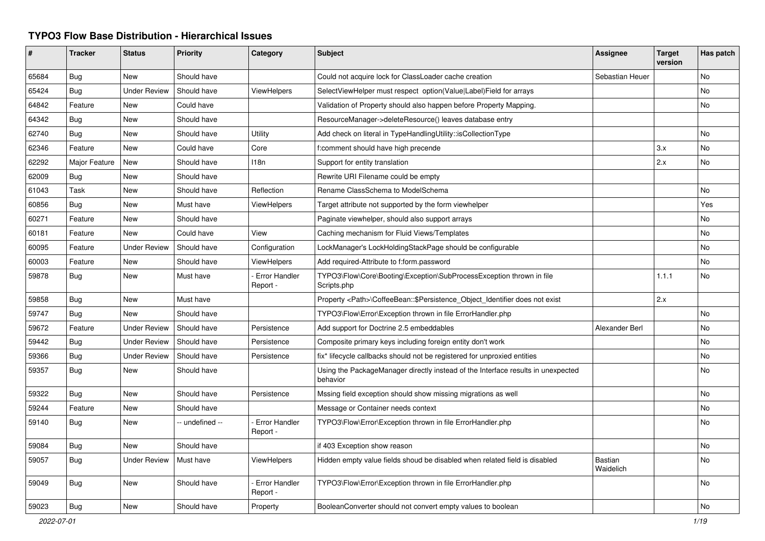## **TYPO3 Flow Base Distribution - Hierarchical Issues**

| #     | <b>Tracker</b> | <b>Status</b>       | <b>Priority</b> | Category                         | <b>Subject</b>                                                                               | <b>Assignee</b>             | <b>Target</b><br>version | Has patch |
|-------|----------------|---------------------|-----------------|----------------------------------|----------------------------------------------------------------------------------------------|-----------------------------|--------------------------|-----------|
| 65684 | Bug            | New                 | Should have     |                                  | Could not acquire lock for ClassLoader cache creation                                        | Sebastian Heuer             |                          | No        |
| 65424 | <b>Bug</b>     | <b>Under Review</b> | Should have     | ViewHelpers                      | SelectViewHelper must respect option(Value Label)Field for arrays                            |                             |                          | No        |
| 64842 | Feature        | New                 | Could have      |                                  | Validation of Property should also happen before Property Mapping.                           |                             |                          | No.       |
| 64342 | Bug            | <b>New</b>          | Should have     |                                  | ResourceManager->deleteResource() leaves database entry                                      |                             |                          |           |
| 62740 | <b>Bug</b>     | New                 | Should have     | Utility                          | Add check on literal in TypeHandlingUtility::isCollectionType                                |                             |                          | No        |
| 62346 | Feature        | New                 | Could have      | Core                             | f:comment should have high precende                                                          |                             | 3.x                      | No        |
| 62292 | Major Feature  | New                 | Should have     | 118n                             | Support for entity translation                                                               |                             | 2.x                      | No        |
| 62009 | <b>Bug</b>     | New                 | Should have     |                                  | Rewrite URI Filename could be empty                                                          |                             |                          |           |
| 61043 | Task           | New                 | Should have     | Reflection                       | Rename ClassSchema to ModelSchema                                                            |                             |                          | No.       |
| 60856 | Bug            | New                 | Must have       | ViewHelpers                      | Target attribute not supported by the form viewhelper                                        |                             |                          | Yes       |
| 60271 | Feature        | <b>New</b>          | Should have     |                                  | Paginate viewhelper, should also support arrays                                              |                             |                          | No        |
| 60181 | Feature        | New                 | Could have      | View                             | Caching mechanism for Fluid Views/Templates                                                  |                             |                          | No        |
| 60095 | Feature        | <b>Under Review</b> | Should have     | Configuration                    | LockManager's LockHoldingStackPage should be configurable                                    |                             |                          | No        |
| 60003 | Feature        | New                 | Should have     | ViewHelpers                      | Add required-Attribute to f:form.password                                                    |                             |                          | No        |
| 59878 | Bug            | New                 | Must have       | Error Handler<br>Report -        | TYPO3\Flow\Core\Booting\Exception\SubProcessException thrown in file<br>Scripts.php          |                             | 1.1.1                    | <b>No</b> |
| 59858 | Bug            | New                 | Must have       |                                  | Property <path>\CoffeeBean::\$Persistence_Object_Identifier does not exist</path>            |                             | 2.x                      |           |
| 59747 | Bug            | New                 | Should have     |                                  | TYPO3\Flow\Error\Exception thrown in file ErrorHandler.php                                   |                             |                          | No        |
| 59672 | Feature        | <b>Under Review</b> | Should have     | Persistence                      | Add support for Doctrine 2.5 embeddables                                                     | Alexander Berl              |                          | No        |
| 59442 | Bug            | <b>Under Review</b> | Should have     | Persistence                      | Composite primary keys including foreign entity don't work                                   |                             |                          | No        |
| 59366 | <b>Bug</b>     | <b>Under Review</b> | Should have     | Persistence                      | fix* lifecycle callbacks should not be registered for unproxied entities                     |                             |                          | No        |
| 59357 | <b>Bug</b>     | New                 | Should have     |                                  | Using the PackageManager directly instead of the Interface results in unexpected<br>behavior |                             |                          | No        |
| 59322 | Bug            | New                 | Should have     | Persistence                      | Mssing field exception should show missing migrations as well                                |                             |                          | No        |
| 59244 | Feature        | New                 | Should have     |                                  | Message or Container needs context                                                           |                             |                          | No.       |
| 59140 | <b>Bug</b>     | New                 | - undefined --  | <b>Error Handler</b><br>Report - | TYPO3\Flow\Error\Exception thrown in file ErrorHandler.php                                   |                             |                          | No.       |
| 59084 | Bug            | New                 | Should have     |                                  | if 403 Exception show reason                                                                 |                             |                          | No.       |
| 59057 | Bug            | <b>Under Review</b> | Must have       | ViewHelpers                      | Hidden empty value fields shoud be disabled when related field is disabled                   | <b>Bastian</b><br>Waidelich |                          | No.       |
| 59049 | <b>Bug</b>     | <b>New</b>          | Should have     | <b>Error Handler</b><br>Report - | TYPO3\Flow\Error\Exception thrown in file ErrorHandler.php                                   |                             |                          | No        |
| 59023 | Bug            | New                 | Should have     | Property                         | BooleanConverter should not convert empty values to boolean                                  |                             |                          | No        |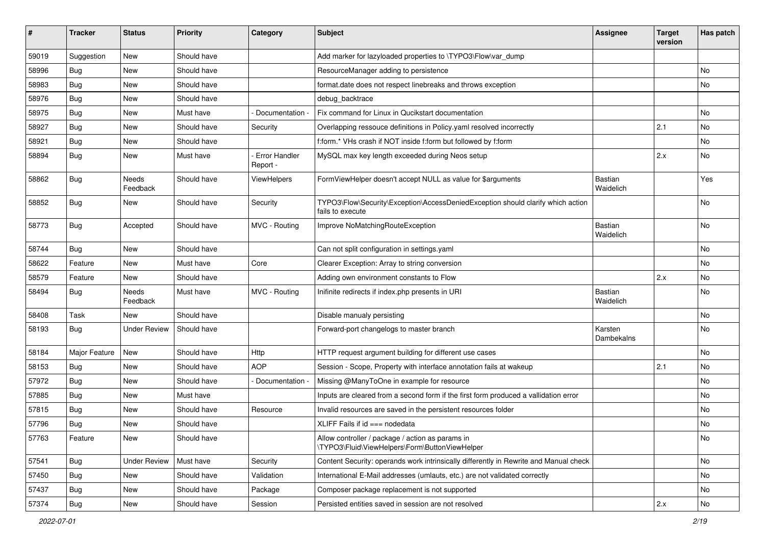| ∦     | <b>Tracker</b> | <b>Status</b>       | Priority    | Category                  | <b>Subject</b>                                                                                      | <b>Assignee</b>       | <b>Target</b><br>version | Has patch |
|-------|----------------|---------------------|-------------|---------------------------|-----------------------------------------------------------------------------------------------------|-----------------------|--------------------------|-----------|
| 59019 | Suggestion     | New                 | Should have |                           | Add marker for lazyloaded properties to \TYPO3\Flow\var_dump                                        |                       |                          |           |
| 58996 | Bug            | New                 | Should have |                           | ResourceManager adding to persistence                                                               |                       |                          | No        |
| 58983 | <b>Bug</b>     | New                 | Should have |                           | format.date does not respect linebreaks and throws exception                                        |                       |                          | <b>No</b> |
| 58976 | Bug            | New                 | Should have |                           | debug backtrace                                                                                     |                       |                          |           |
| 58975 | <b>Bug</b>     | New                 | Must have   | Documentation             | Fix command for Linux in Qucikstart documentation                                                   |                       |                          | <b>No</b> |
| 58927 | <b>Bug</b>     | New                 | Should have | Security                  | Overlapping ressouce definitions in Policy.yaml resolved incorrectly                                |                       | 2.1                      | <b>No</b> |
| 58921 | <b>Bug</b>     | New                 | Should have |                           | f:form.* VHs crash if NOT inside f:form but followed by f:form                                      |                       |                          | No        |
| 58894 | <b>Bug</b>     | New                 | Must have   | Error Handler<br>Report - | MySQL max key length exceeded during Neos setup                                                     |                       | 2.x                      | <b>No</b> |
| 58862 | Bug            | Needs<br>Feedback   | Should have | ViewHelpers               | FormViewHelper doesn't accept NULL as value for \$arguments                                         | Bastian<br>Waidelich  |                          | Yes       |
| 58852 | Bug            | New                 | Should have | Security                  | TYPO3\Flow\Security\Exception\AccessDeniedException should clarify which action<br>fails to execute |                       |                          | No        |
| 58773 | <b>Bug</b>     | Accepted            | Should have | MVC - Routing             | Improve NoMatchingRouteException                                                                    | Bastian<br>Waidelich  |                          | <b>No</b> |
| 58744 | Bug            | New                 | Should have |                           | Can not split configuration in settings.yaml                                                        |                       |                          | No        |
| 58622 | Feature        | New                 | Must have   | Core                      | Clearer Exception: Array to string conversion                                                       |                       |                          | <b>No</b> |
| 58579 | Feature        | New                 | Should have |                           | Adding own environment constants to Flow                                                            |                       | 2.x                      | No        |
| 58494 | <b>Bug</b>     | Needs<br>Feedback   | Must have   | MVC - Routing             | Inifinite redirects if index.php presents in URI                                                    | Bastian<br>Waidelich  |                          | <b>No</b> |
| 58408 | Task           | New                 | Should have |                           | Disable manualy persisting                                                                          |                       |                          | <b>No</b> |
| 58193 | <b>Bug</b>     | <b>Under Review</b> | Should have |                           | Forward-port changelogs to master branch                                                            | Karsten<br>Dambekalns |                          | No        |
| 58184 | Major Feature  | New                 | Should have | Http                      | HTTP request argument building for different use cases                                              |                       |                          | No        |
| 58153 | Bug            | New                 | Should have | <b>AOP</b>                | Session - Scope, Property with interface annotation fails at wakeup                                 |                       | 2.1                      | <b>No</b> |
| 57972 | <b>Bug</b>     | New                 | Should have | Documentation             | Missing @ManyToOne in example for resource                                                          |                       |                          | No        |
| 57885 | Bug            | New                 | Must have   |                           | Inputs are cleared from a second form if the first form produced a vallidation error                |                       |                          | <b>No</b> |
| 57815 | Bug            | New                 | Should have | Resource                  | Invalid resources are saved in the persistent resources folder                                      |                       |                          | No        |
| 57796 | <b>Bug</b>     | New                 | Should have |                           | XLIFF Fails if $id ==$ nodedata                                                                     |                       |                          | No        |
| 57763 | Feature        | New                 | Should have |                           | Allow controller / package / action as params in<br>\TYPO3\Fluid\ViewHelpers\Form\ButtonViewHelper  |                       |                          | No        |
| 57541 | Bug            | <b>Under Review</b> | Must have   | Security                  | Content Security: operands work intrinsically differently in Rewrite and Manual check               |                       |                          | No        |
| 57450 | Bug            | New                 | Should have | Validation                | International E-Mail addresses (umlauts, etc.) are not validated correctly                          |                       |                          | No        |
| 57437 | Bug            | New                 | Should have | Package                   | Composer package replacement is not supported                                                       |                       |                          | No        |
| 57374 | Bug            | New                 | Should have | Session                   | Persisted entities saved in session are not resolved                                                |                       | 2.x                      | No        |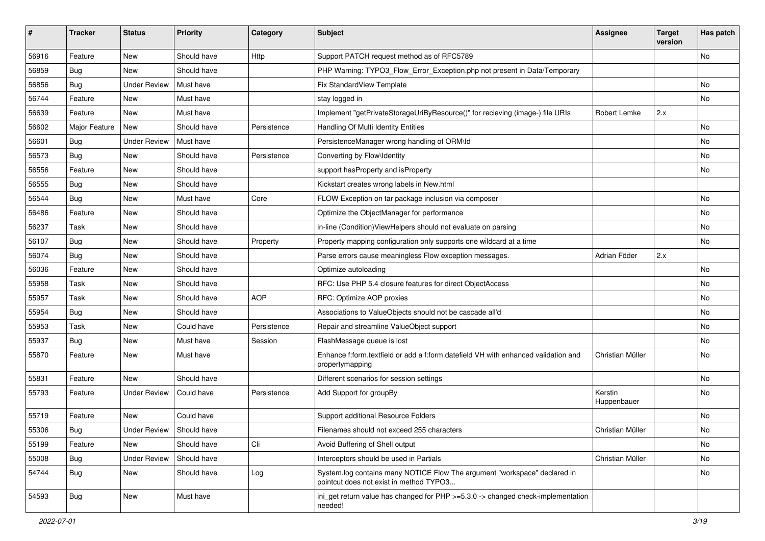| #     | <b>Tracker</b> | <b>Status</b>       | <b>Priority</b> | Category    | <b>Subject</b>                                                                                                       | <b>Assignee</b>        | <b>Target</b><br>version | Has patch |
|-------|----------------|---------------------|-----------------|-------------|----------------------------------------------------------------------------------------------------------------------|------------------------|--------------------------|-----------|
| 56916 | Feature        | New                 | Should have     | Http        | Support PATCH request method as of RFC5789                                                                           |                        |                          | No        |
| 56859 | <b>Bug</b>     | New                 | Should have     |             | PHP Warning: TYPO3_Flow_Error_Exception.php not present in Data/Temporary                                            |                        |                          |           |
| 56856 | <b>Bug</b>     | <b>Under Review</b> | Must have       |             | Fix StandardView Template                                                                                            |                        |                          | No        |
| 56744 | Feature        | New                 | Must have       |             | stay logged in                                                                                                       |                        |                          | No        |
| 56639 | Feature        | New                 | Must have       |             | Implement "getPrivateStorageUriByResource()" for recieving (image-) file URIs                                        | Robert Lemke           | 2.x                      |           |
| 56602 | Major Feature  | New                 | Should have     | Persistence | Handling Of Multi Identity Entities                                                                                  |                        |                          | No        |
| 56601 | Bug            | <b>Under Review</b> | Must have       |             | PersistenceManager wrong handling of ORM\ld                                                                          |                        |                          | No        |
| 56573 | <b>Bug</b>     | New                 | Should have     | Persistence | Converting by Flow\Identity                                                                                          |                        |                          | No        |
| 56556 | Feature        | New                 | Should have     |             | support hasProperty and isProperty                                                                                   |                        |                          | No        |
| 56555 | <b>Bug</b>     | New                 | Should have     |             | Kickstart creates wrong labels in New.html                                                                           |                        |                          |           |
| 56544 | <b>Bug</b>     | New                 | Must have       | Core        | FLOW Exception on tar package inclusion via composer                                                                 |                        |                          | No        |
| 56486 | Feature        | New                 | Should have     |             | Optimize the ObjectManager for performance                                                                           |                        |                          | No        |
| 56237 | Task           | New                 | Should have     |             | in-line (Condition) ViewHelpers should not evaluate on parsing                                                       |                        |                          | No        |
| 56107 | <b>Bug</b>     | New                 | Should have     | Property    | Property mapping configuration only supports one wildcard at a time                                                  |                        |                          | No        |
| 56074 | <b>Bug</b>     | New                 | Should have     |             | Parse errors cause meaningless Flow exception messages.                                                              | Adrian Föder           | 2.x                      |           |
| 56036 | Feature        | New                 | Should have     |             | Optimize autoloading                                                                                                 |                        |                          | No        |
| 55958 | Task           | New                 | Should have     |             | RFC: Use PHP 5.4 closure features for direct ObjectAccess                                                            |                        |                          | No        |
| 55957 | Task           | New                 | Should have     | <b>AOP</b>  | RFC: Optimize AOP proxies                                                                                            |                        |                          | No        |
| 55954 | <b>Bug</b>     | New                 | Should have     |             | Associations to ValueObjects should not be cascade all'd                                                             |                        |                          | No        |
| 55953 | Task           | New                 | Could have      | Persistence | Repair and streamline ValueObject support                                                                            |                        |                          | No        |
| 55937 | Bug            | New                 | Must have       | Session     | FlashMessage queue is lost                                                                                           |                        |                          | No        |
| 55870 | Feature        | New                 | Must have       |             | Enhance f:form.textfield or add a f:form.datefield VH with enhanced validation and<br>propertymapping                | Christian Müller       |                          | No        |
| 55831 | Feature        | New                 | Should have     |             | Different scenarios for session settings                                                                             |                        |                          | No        |
| 55793 | Feature        | <b>Under Review</b> | Could have      | Persistence | Add Support for groupBy                                                                                              | Kerstin<br>Huppenbauer |                          | No        |
| 55719 | Feature        | New                 | Could have      |             | Support additional Resource Folders                                                                                  |                        |                          | No        |
| 55306 | Bug            | Under Review        | Should have     |             | Filenames should not exceed 255 characters                                                                           | Christian Müller       |                          | No        |
| 55199 | Feature        | New                 | Should have     | Cli         | Avoid Buffering of Shell output                                                                                      |                        |                          | No        |
| 55008 | Bug            | <b>Under Review</b> | Should have     |             | Interceptors should be used in Partials                                                                              | Christian Müller       |                          | No        |
| 54744 | <b>Bug</b>     | New                 | Should have     | Log         | System.log contains many NOTICE Flow The argument "workspace" declared in<br>pointcut does not exist in method TYPO3 |                        |                          | No        |
| 54593 | Bug            | New                 | Must have       |             | ini_get return value has changed for PHP >=5.3.0 -> changed check-implementation<br>needed!                          |                        |                          |           |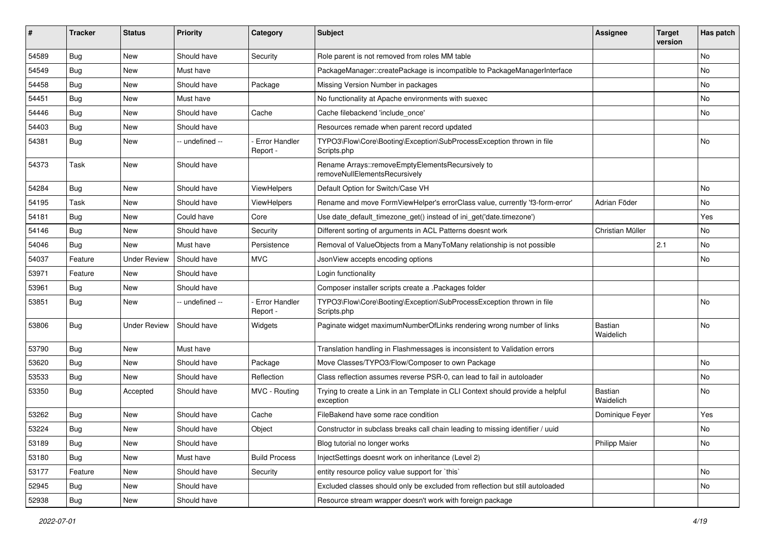| #     | <b>Tracker</b> | <b>Status</b>       | <b>Priority</b> | Category                         | Subject                                                                                     | <b>Assignee</b>      | <b>Target</b><br>version | Has patch |
|-------|----------------|---------------------|-----------------|----------------------------------|---------------------------------------------------------------------------------------------|----------------------|--------------------------|-----------|
| 54589 | Bug            | <b>New</b>          | Should have     | Security                         | Role parent is not removed from roles MM table                                              |                      |                          | No        |
| 54549 | Bug            | New                 | Must have       |                                  | PackageManager::createPackage is incompatible to PackageManagerInterface                    |                      |                          | No        |
| 54458 | Bug            | New                 | Should have     | Package                          | Missing Version Number in packages                                                          |                      |                          | No        |
| 54451 | Bug            | New                 | Must have       |                                  | No functionality at Apache environments with suexec                                         |                      |                          | No        |
| 54446 | Bug            | New                 | Should have     | Cache                            | Cache filebackend 'include once'                                                            |                      |                          | No        |
| 54403 | Bug            | New                 | Should have     |                                  | Resources remade when parent record updated                                                 |                      |                          |           |
| 54381 | Bug            | New                 | -- undefined -- | <b>Error Handler</b><br>Report - | TYPO3\Flow\Core\Booting\Exception\SubProcessException thrown in file<br>Scripts.php         |                      |                          | No        |
| 54373 | Task           | New                 | Should have     |                                  | Rename Arrays::removeEmptyElementsRecursively to<br>removeNullElementsRecursively           |                      |                          |           |
| 54284 | Bug            | New                 | Should have     | ViewHelpers                      | Default Option for Switch/Case VH                                                           |                      |                          | No        |
| 54195 | Task           | <b>New</b>          | Should have     | ViewHelpers                      | Rename and move FormViewHelper's errorClass value, currently 'f3-form-error'                | Adrian Föder         |                          | No        |
| 54181 | Bug            | New                 | Could have      | Core                             | Use date_default_timezone_get() instead of ini_get('date.timezone')                         |                      |                          | Yes       |
| 54146 | Bug            | New                 | Should have     | Security                         | Different sorting of arguments in ACL Patterns doesnt work                                  | Christian Müller     |                          | No.       |
| 54046 | Bug            | New                 | Must have       | Persistence                      | Removal of ValueObjects from a ManyToMany relationship is not possible                      |                      | 2.1                      | No        |
| 54037 | Feature        | <b>Under Review</b> | Should have     | <b>MVC</b>                       | JsonView accepts encoding options                                                           |                      |                          | No.       |
| 53971 | Feature        | New                 | Should have     |                                  | Login functionality                                                                         |                      |                          |           |
| 53961 | Bug            | New                 | Should have     |                                  | Composer installer scripts create a .Packages folder                                        |                      |                          |           |
| 53851 | Bug            | New                 | -- undefined -- | <b>Error Handler</b><br>Report - | TYPO3\Flow\Core\Booting\Exception\SubProcessException thrown in file<br>Scripts.php         |                      |                          | No        |
| 53806 | Bug            | <b>Under Review</b> | Should have     | Widgets                          | Paginate widget maximumNumberOfLinks rendering wrong number of links                        | Bastian<br>Waidelich |                          | No        |
| 53790 | Bug            | New                 | Must have       |                                  | Translation handling in Flashmessages is inconsistent to Validation errors                  |                      |                          |           |
| 53620 | Bug            | New                 | Should have     | Package                          | Move Classes/TYPO3/Flow/Composer to own Package                                             |                      |                          | No        |
| 53533 | Bug            | New                 | Should have     | Reflection                       | Class reflection assumes reverse PSR-0, can lead to fail in autoloader                      |                      |                          | No        |
| 53350 | Bug            | Accepted            | Should have     | MVC - Routing                    | Trying to create a Link in an Template in CLI Context should provide a helpful<br>exception | Bastian<br>Waidelich |                          | No        |
| 53262 | Bug            | New                 | Should have     | Cache                            | FileBakend have some race condition                                                         | Dominique Feyer      |                          | Yes       |
| 53224 | Bug            | New                 | Should have     | Object                           | Constructor in subclass breaks call chain leading to missing identifier / uuid              |                      |                          | No        |
| 53189 | Bug            | New                 | Should have     |                                  | Blog tutorial no longer works                                                               | <b>Philipp Maier</b> |                          | No        |
| 53180 | Bug            | New                 | Must have       | <b>Build Process</b>             | InjectSettings doesnt work on inheritance (Level 2)                                         |                      |                          |           |
| 53177 | Feature        | New                 | Should have     | Security                         | entity resource policy value support for `this`                                             |                      |                          | No        |
| 52945 | <b>Bug</b>     | New                 | Should have     |                                  | Excluded classes should only be excluded from reflection but still autoloaded               |                      |                          | No        |
| 52938 | Bug            | New                 | Should have     |                                  | Resource stream wrapper doesn't work with foreign package                                   |                      |                          |           |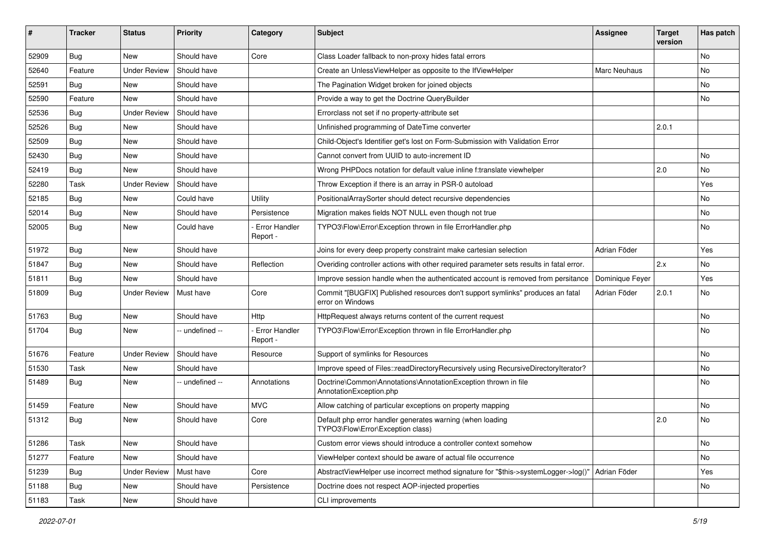| ∦     | <b>Tracker</b> | <b>Status</b>       | Priority       | Category                         | <b>Subject</b>                                                                                     | <b>Assignee</b> | <b>Target</b><br>version | Has patch |
|-------|----------------|---------------------|----------------|----------------------------------|----------------------------------------------------------------------------------------------------|-----------------|--------------------------|-----------|
| 52909 | Bug            | New                 | Should have    | Core                             | Class Loader fallback to non-proxy hides fatal errors                                              |                 |                          | No        |
| 52640 | Feature        | <b>Under Review</b> | Should have    |                                  | Create an UnlessViewHelper as opposite to the IfViewHelper                                         | Marc Neuhaus    |                          | No        |
| 52591 | Bug            | New                 | Should have    |                                  | The Pagination Widget broken for joined objects                                                    |                 |                          | No        |
| 52590 | Feature        | New                 | Should have    |                                  | Provide a way to get the Doctrine QueryBuilder                                                     |                 |                          | No        |
| 52536 | <b>Bug</b>     | <b>Under Review</b> | Should have    |                                  | Errorclass not set if no property-attribute set                                                    |                 |                          |           |
| 52526 | Bug            | New                 | Should have    |                                  | Unfinished programming of DateTime converter                                                       |                 | 2.0.1                    |           |
| 52509 | Bug            | New                 | Should have    |                                  | Child-Object's Identifier get's lost on Form-Submission with Validation Error                      |                 |                          |           |
| 52430 | <b>Bug</b>     | New                 | Should have    |                                  | Cannot convert from UUID to auto-increment ID                                                      |                 |                          | No.       |
| 52419 | Bug            | New                 | Should have    |                                  | Wrong PHPDocs notation for default value inline f:translate viewhelper                             |                 | 2.0                      | No        |
| 52280 | Task           | <b>Under Review</b> | Should have    |                                  | Throw Exception if there is an array in PSR-0 autoload                                             |                 |                          | Yes       |
| 52185 | Bug            | New                 | Could have     | Utility                          | PositionalArraySorter should detect recursive dependencies                                         |                 |                          | No        |
| 52014 | <b>Bug</b>     | New                 | Should have    | Persistence                      | Migration makes fields NOT NULL even though not true                                               |                 |                          | No        |
| 52005 | <b>Bug</b>     | New                 | Could have     | Error Handler<br>Report -        | TYPO3\Flow\Error\Exception thrown in file ErrorHandler.php                                         |                 |                          | No        |
| 51972 | Bug            | New                 | Should have    |                                  | Joins for every deep property constraint make cartesian selection                                  | Adrian Föder    |                          | Yes       |
| 51847 | Bug            | New                 | Should have    | Reflection                       | Overiding controller actions with other required parameter sets results in fatal error.            |                 | 2.x                      | No        |
| 51811 | Bug            | New                 | Should have    |                                  | Improve session handle when the authenticated account is removed from persitance                   | Dominique Feyer |                          | Yes       |
| 51809 | <b>Bug</b>     | <b>Under Review</b> | Must have      | Core                             | Commit "[BUGFIX] Published resources don't support symlinks" produces an fatal<br>error on Windows | Adrian Föder    | 2.0.1                    | No        |
| 51763 | Bug            | New                 | Should have    | Http                             | HttpRequest always returns content of the current request                                          |                 |                          | No        |
| 51704 | <b>Bug</b>     | New                 | - undefined -- | <b>Error Handler</b><br>Report - | TYPO3\Flow\Error\Exception thrown in file ErrorHandler.php                                         |                 |                          | No        |
| 51676 | Feature        | <b>Under Review</b> | Should have    | Resource                         | Support of symlinks for Resources                                                                  |                 |                          | No        |
| 51530 | Task           | New                 | Should have    |                                  | Improve speed of Files::readDirectoryRecursively using RecursiveDirectoryIterator?                 |                 |                          | No        |
| 51489 | Bug            | New                 | - undefined -- | Annotations                      | Doctrine\Common\Annotations\AnnotationException thrown in file<br>AnnotationException.php          |                 |                          | No        |
| 51459 | Feature        | New                 | Should have    | <b>MVC</b>                       | Allow catching of particular exceptions on property mapping                                        |                 |                          | No        |
| 51312 | <b>Bug</b>     | New                 | Should have    | Core                             | Default php error handler generates warning (when loading<br>TYPO3\Flow\Error\Exception class)     |                 | 2.0                      | No        |
| 51286 | Task           | New                 | Should have    |                                  | Custom error views should introduce a controller context somehow                                   |                 |                          | No        |
| 51277 | Feature        | New                 | Should have    |                                  | ViewHelper context should be aware of actual file occurrence                                       |                 |                          | No        |
| 51239 | <b>Bug</b>     | <b>Under Review</b> | Must have      | Core                             | AbstractViewHelper use incorrect method signature for "\$this->systemLogger->log()"                | Adrian Föder    |                          | Yes       |
| 51188 | <b>Bug</b>     | New                 | Should have    | Persistence                      | Doctrine does not respect AOP-injected properties                                                  |                 |                          | No        |
| 51183 | Task           | New                 | Should have    |                                  | CLI improvements                                                                                   |                 |                          |           |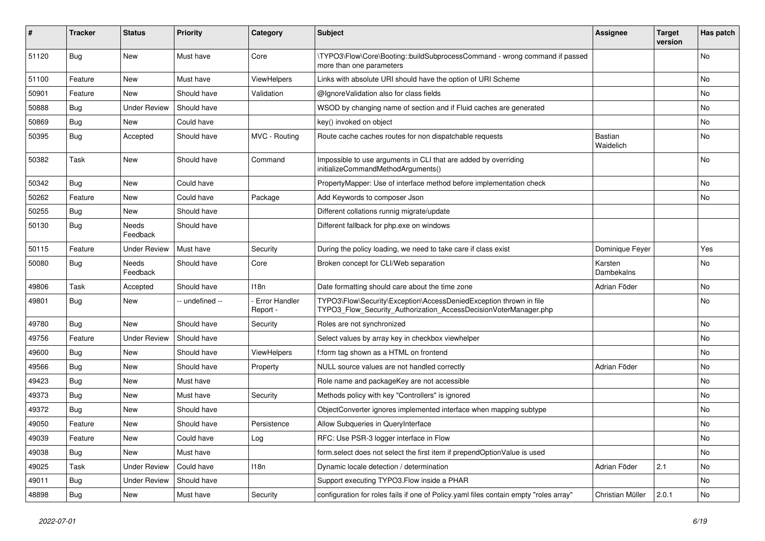| #     | <b>Tracker</b> | <b>Status</b>       | <b>Priority</b> | Category                         | Subject                                                                                                                                | <b>Assignee</b>       | <b>Target</b><br>version | Has patch |
|-------|----------------|---------------------|-----------------|----------------------------------|----------------------------------------------------------------------------------------------------------------------------------------|-----------------------|--------------------------|-----------|
| 51120 | Bug            | New                 | Must have       | Core                             | \TYPO3\Flow\Core\Booting::buildSubprocessCommand - wrong command if passed<br>more than one parameters                                 |                       |                          | No        |
| 51100 | Feature        | New                 | Must have       | ViewHelpers                      | Links with absolute URI should have the option of URI Scheme                                                                           |                       |                          | No        |
| 50901 | Feature        | New                 | Should have     | Validation                       | @IgnoreValidation also for class fields                                                                                                |                       |                          | <b>No</b> |
| 50888 | Bug            | <b>Under Review</b> | Should have     |                                  | WSOD by changing name of section and if Fluid caches are generated                                                                     |                       |                          | No        |
| 50869 | Bug            | New                 | Could have      |                                  | key() invoked on object                                                                                                                |                       |                          | <b>No</b> |
| 50395 | <b>Bug</b>     | Accepted            | Should have     | MVC - Routing                    | Route cache caches routes for non dispatchable requests                                                                                | Bastian<br>Waidelich  |                          | No        |
| 50382 | Task           | New                 | Should have     | Command                          | Impossible to use arguments in CLI that are added by overriding<br>initializeCommandMethodArguments()                                  |                       |                          | <b>No</b> |
| 50342 | Bug            | New                 | Could have      |                                  | PropertyMapper: Use of interface method before implementation check                                                                    |                       |                          | No        |
| 50262 | Feature        | New                 | Could have      | Package                          | Add Keywords to composer Json                                                                                                          |                       |                          | No        |
| 50255 | <b>Bug</b>     | New                 | Should have     |                                  | Different collations runnig migrate/update                                                                                             |                       |                          |           |
| 50130 | <b>Bug</b>     | Needs<br>Feedback   | Should have     |                                  | Different fallback for php.exe on windows                                                                                              |                       |                          |           |
| 50115 | Feature        | <b>Under Review</b> | Must have       | Security                         | During the policy loading, we need to take care if class exist                                                                         | Dominique Feyer       |                          | Yes       |
| 50080 | <b>Bug</b>     | Needs<br>Feedback   | Should have     | Core                             | Broken concept for CLI/Web separation                                                                                                  | Karsten<br>Dambekalns |                          | No        |
| 49806 | Task           | Accepted            | Should have     | 118n                             | Date formatting should care about the time zone                                                                                        | Adrian Föder          |                          | No        |
| 49801 | Bug            | New                 | - undefined --  | <b>Error Handler</b><br>Report - | TYPO3\Flow\Security\Exception\AccessDeniedException thrown in file<br>TYPO3_Flow_Security_Authorization_AccessDecisionVoterManager.php |                       |                          | No        |
| 49780 | Bug            | New                 | Should have     | Security                         | Roles are not synchronized                                                                                                             |                       |                          | No        |
| 49756 | Feature        | <b>Under Review</b> | Should have     |                                  | Select values by array key in checkbox viewhelper                                                                                      |                       |                          | No        |
| 49600 | <b>Bug</b>     | New                 | Should have     | ViewHelpers                      | f:form tag shown as a HTML on frontend                                                                                                 |                       |                          | No        |
| 49566 | Bug            | New                 | Should have     | Property                         | NULL source values are not handled correctly                                                                                           | Adrian Föder          |                          | <b>No</b> |
| 49423 | <b>Bug</b>     | New                 | Must have       |                                  | Role name and packageKey are not accessible                                                                                            |                       |                          | No        |
| 49373 | <b>Bug</b>     | New                 | Must have       | Security                         | Methods policy with key "Controllers" is ignored                                                                                       |                       |                          | No        |
| 49372 | <b>Bug</b>     | New                 | Should have     |                                  | ObjectConverter ignores implemented interface when mapping subtype                                                                     |                       |                          | No        |
| 49050 | Feature        | New                 | Should have     | Persistence                      | Allow Subqueries in QueryInterface                                                                                                     |                       |                          | No        |
| 49039 | Feature        | New                 | Could have      | Log                              | RFC: Use PSR-3 logger interface in Flow                                                                                                |                       |                          | No        |
| 49038 | <b>Bug</b>     | New                 | Must have       |                                  | form.select does not select the first item if prependOptionValue is used                                                               |                       |                          | No        |
| 49025 | Task           | <b>Under Review</b> | Could have      | 118n                             | Dynamic locale detection / determination                                                                                               | Adrian Föder          | 2.1                      | No        |
| 49011 | Bug            | <b>Under Review</b> | Should have     |                                  | Support executing TYPO3. Flow inside a PHAR                                                                                            |                       |                          | No        |
| 48898 | Bug            | New                 | Must have       | Security                         | configuration for roles fails if one of Policy yaml files contain empty "roles array"                                                  | Christian Müller      | 2.0.1                    | No        |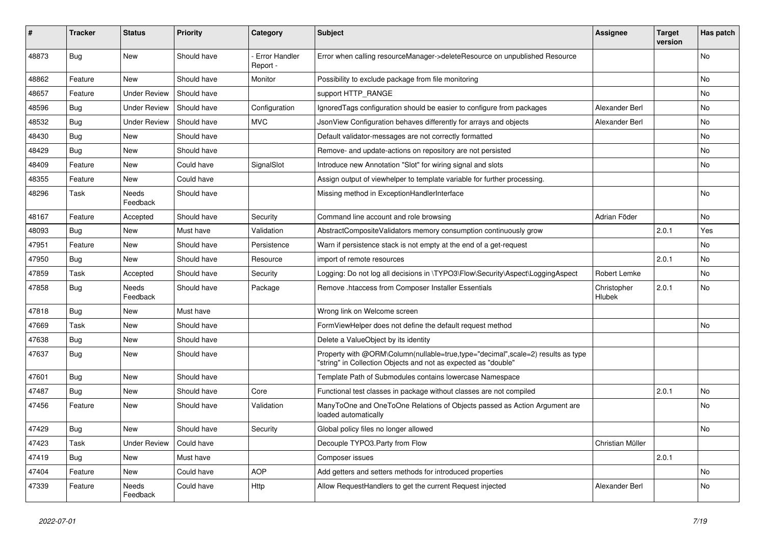| #     | <b>Tracker</b> | <b>Status</b>       | <b>Priority</b> | Category                         | Subject                                                                                                                                           | <b>Assignee</b>       | <b>Target</b><br>version | Has patch |
|-------|----------------|---------------------|-----------------|----------------------------------|---------------------------------------------------------------------------------------------------------------------------------------------------|-----------------------|--------------------------|-----------|
| 48873 | Bug            | New                 | Should have     | <b>Error Handler</b><br>Report - | Error when calling resourceManager->deleteResource on unpublished Resource                                                                        |                       |                          | No        |
| 48862 | Feature        | New                 | Should have     | Monitor                          | Possibility to exclude package from file monitoring                                                                                               |                       |                          | No        |
| 48657 | Feature        | <b>Under Review</b> | Should have     |                                  | support HTTP_RANGE                                                                                                                                |                       |                          | No        |
| 48596 | <b>Bug</b>     | <b>Under Review</b> | Should have     | Configuration                    | Ignored Tags configuration should be easier to configure from packages                                                                            | Alexander Berl        |                          | No        |
| 48532 | Bug            | <b>Under Review</b> | Should have     | <b>MVC</b>                       | JsonView Configuration behaves differently for arrays and objects                                                                                 | Alexander Berl        |                          | No        |
| 48430 | <b>Bug</b>     | New                 | Should have     |                                  | Default validator-messages are not correctly formatted                                                                                            |                       |                          | No        |
| 48429 | <b>Bug</b>     | New                 | Should have     |                                  | Remove- and update-actions on repository are not persisted                                                                                        |                       |                          | No.       |
| 48409 | Feature        | New                 | Could have      | SignalSlot                       | Introduce new Annotation "Slot" for wiring signal and slots                                                                                       |                       |                          | No        |
| 48355 | Feature        | New                 | Could have      |                                  | Assign output of viewhelper to template variable for further processing.                                                                          |                       |                          |           |
| 48296 | Task           | Needs<br>Feedback   | Should have     |                                  | Missing method in ExceptionHandlerInterface                                                                                                       |                       |                          | No        |
| 48167 | Feature        | Accepted            | Should have     | Security                         | Command line account and role browsing                                                                                                            | Adrian Föder          |                          | No        |
| 48093 | <b>Bug</b>     | New                 | Must have       | Validation                       | AbstractCompositeValidators memory consumption continuously grow                                                                                  |                       | 2.0.1                    | Yes       |
| 47951 | Feature        | New                 | Should have     | Persistence                      | Warn if persistence stack is not empty at the end of a get-request                                                                                |                       |                          | No        |
| 47950 | Bug            | New                 | Should have     | Resource                         | import of remote resources                                                                                                                        |                       | 2.0.1                    | No        |
| 47859 | Task           | Accepted            | Should have     | Security                         | Logging: Do not log all decisions in \TYPO3\Flow\Security\Aspect\LoggingAspect                                                                    | Robert Lemke          |                          | No        |
| 47858 | <b>Bug</b>     | Needs<br>Feedback   | Should have     | Package                          | Remove .htaccess from Composer Installer Essentials                                                                                               | Christopher<br>Hlubek | 2.0.1                    | No        |
| 47818 | Bug            | New                 | Must have       |                                  | Wrong link on Welcome screen                                                                                                                      |                       |                          |           |
| 47669 | Task           | New                 | Should have     |                                  | FormViewHelper does not define the default request method                                                                                         |                       |                          | No        |
| 47638 | Bug            | New                 | Should have     |                                  | Delete a ValueObject by its identity                                                                                                              |                       |                          |           |
| 47637 | <b>Bug</b>     | New                 | Should have     |                                  | Property with @ORM\Column(nullable=true,type="decimal",scale=2) results as type<br>"string" in Collection Objects and not as expected as "double" |                       |                          |           |
| 47601 | Bug            | New                 | Should have     |                                  | Template Path of Submodules contains lowercase Namespace                                                                                          |                       |                          |           |
| 47487 | Bug            | New                 | Should have     | Core                             | Functional test classes in package without classes are not compiled                                                                               |                       | 2.0.1                    | No        |
| 47456 | Feature        | New                 | Should have     | Validation                       | ManyToOne and OneToOne Relations of Objects passed as Action Argument are<br>loaded automatically                                                 |                       |                          | No        |
| 47429 | Bug            | New                 | Should have     | Security                         | Global policy files no longer allowed                                                                                                             |                       |                          | No        |
| 47423 | Task           | <b>Under Review</b> | Could have      |                                  | Decouple TYPO3.Party from Flow                                                                                                                    | Christian Müller      |                          |           |
| 47419 | <b>Bug</b>     | New                 | Must have       |                                  | Composer issues                                                                                                                                   |                       | 2.0.1                    |           |
| 47404 | Feature        | New                 | Could have      | <b>AOP</b>                       | Add getters and setters methods for introduced properties                                                                                         |                       |                          | No        |
| 47339 | Feature        | Needs<br>Feedback   | Could have      | Http                             | Allow RequestHandlers to get the current Request injected                                                                                         | Alexander Berl        |                          | No        |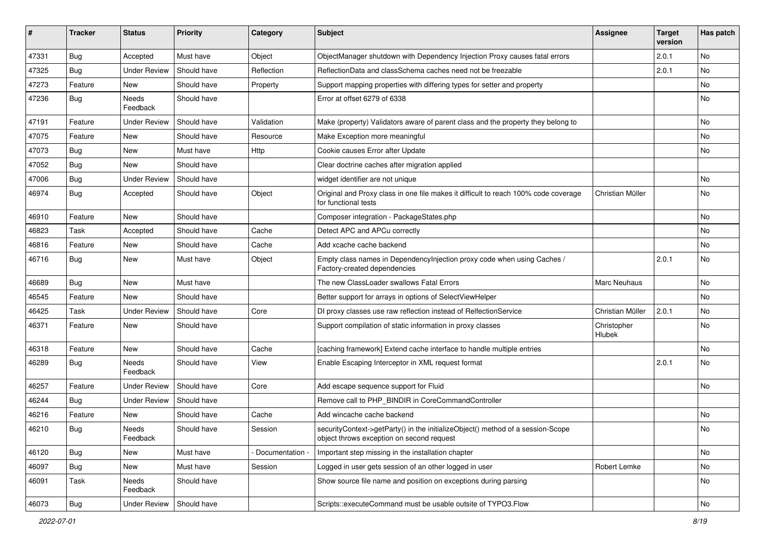| #     | <b>Tracker</b> | <b>Status</b>       | <b>Priority</b> | Category        | <b>Subject</b>                                                                                                               | <b>Assignee</b>       | <b>Target</b><br>version | Has patch |
|-------|----------------|---------------------|-----------------|-----------------|------------------------------------------------------------------------------------------------------------------------------|-----------------------|--------------------------|-----------|
| 47331 | Bug            | Accepted            | Must have       | Object          | ObjectManager shutdown with Dependency Injection Proxy causes fatal errors                                                   |                       | 2.0.1                    | No        |
| 47325 | <b>Bug</b>     | Under Review        | Should have     | Reflection      | ReflectionData and classSchema caches need not be freezable                                                                  |                       | 2.0.1                    | No        |
| 47273 | Feature        | New                 | Should have     | Property        | Support mapping properties with differing types for setter and property                                                      |                       |                          | No        |
| 47236 | <b>Bug</b>     | Needs<br>Feedback   | Should have     |                 | Error at offset 6279 of 6338                                                                                                 |                       |                          | No        |
| 47191 | Feature        | <b>Under Review</b> | Should have     | Validation      | Make (property) Validators aware of parent class and the property they belong to                                             |                       |                          | No        |
| 47075 | Feature        | New                 | Should have     | Resource        | Make Exception more meaningful                                                                                               |                       |                          | No        |
| 47073 | Bug            | New                 | Must have       | <b>Http</b>     | Cookie causes Error after Update                                                                                             |                       |                          | No.       |
| 47052 | Bug            | New                 | Should have     |                 | Clear doctrine caches after migration applied                                                                                |                       |                          |           |
| 47006 | <b>Bug</b>     | Under Review        | Should have     |                 | widget identifier are not unique                                                                                             |                       |                          | No        |
| 46974 | Bug            | Accepted            | Should have     | Object          | Original and Proxy class in one file makes it difficult to reach 100% code coverage<br>for functional tests                  | Christian Müller      |                          | No        |
| 46910 | Feature        | New                 | Should have     |                 | Composer integration - PackageStates.php                                                                                     |                       |                          | No        |
| 46823 | Task           | Accepted            | Should have     | Cache           | Detect APC and APCu correctly                                                                                                |                       |                          | No        |
| 46816 | Feature        | New                 | Should have     | Cache           | Add xcache cache backend                                                                                                     |                       |                          | No        |
| 46716 | <b>Bug</b>     | New                 | Must have       | Object          | Empty class names in Dependencylnjection proxy code when using Caches /<br>Factory-created dependencies                      |                       | 2.0.1                    | No        |
| 46689 | Bug            | New                 | Must have       |                 | The new ClassLoader swallows Fatal Errors                                                                                    | Marc Neuhaus          |                          | No        |
| 46545 | Feature        | New                 | Should have     |                 | Better support for arrays in options of SelectViewHelper                                                                     |                       |                          | No        |
| 46425 | Task           | <b>Under Review</b> | Should have     | Core            | DI proxy classes use raw reflection instead of RelfectionService                                                             | Christian Müller      | 2.0.1                    | No        |
| 46371 | Feature        | New                 | Should have     |                 | Support compilation of static information in proxy classes                                                                   | Christopher<br>Hlubek |                          | No        |
| 46318 | Feature        | New                 | Should have     | Cache           | [caching framework] Extend cache interface to handle multiple entries                                                        |                       |                          | No        |
| 46289 | Bug            | Needs<br>Feedback   | Should have     | View            | Enable Escaping Interceptor in XML request format                                                                            |                       | 2.0.1                    | No        |
| 46257 | Feature        | Under Review        | Should have     | Core            | Add escape sequence support for Fluid                                                                                        |                       |                          | No        |
| 46244 | Bug            | <b>Under Review</b> | Should have     |                 | Remove call to PHP_BINDIR in CoreCommandController                                                                           |                       |                          |           |
| 46216 | Feature        | New                 | Should have     | Cache           | Add wincache cache backend                                                                                                   |                       |                          | No        |
| 46210 | Bug            | Needs<br>Feedback   | Should have     | Session         | securityContext->getParty() in the initializeObject() method of a session-Scope<br>object throws exception on second request |                       |                          | No        |
| 46120 | Bug            | New                 | Must have       | Documentation - | Important step missing in the installation chapter                                                                           |                       |                          | No        |
| 46097 | Bug            | New                 | Must have       | Session         | Logged in user gets session of an other logged in user                                                                       | Robert Lemke          |                          | No        |
| 46091 | Task           | Needs<br>Feedback   | Should have     |                 | Show source file name and position on exceptions during parsing                                                              |                       |                          | No        |
| 46073 | Bug            | <b>Under Review</b> | Should have     |                 | Scripts::executeCommand must be usable outsite of TYPO3.Flow                                                                 |                       |                          | No        |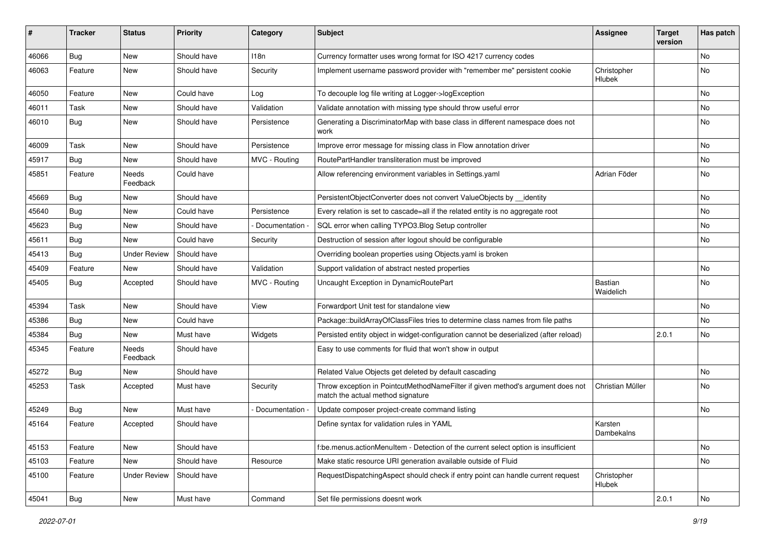| #     | <b>Tracker</b> | <b>Status</b>       | <b>Priority</b> | Category      | <b>Subject</b>                                                                                                       | <b>Assignee</b>       | <b>Target</b><br>version | Has patch |
|-------|----------------|---------------------|-----------------|---------------|----------------------------------------------------------------------------------------------------------------------|-----------------------|--------------------------|-----------|
| 46066 | Bug            | New                 | Should have     | 118n          | Currency formatter uses wrong format for ISO 4217 currency codes                                                     |                       |                          | No        |
| 46063 | Feature        | New                 | Should have     | Security      | Implement username password provider with "remember me" persistent cookie                                            | Christopher<br>Hlubek |                          | No        |
| 46050 | Feature        | New                 | Could have      | Log           | To decouple log file writing at Logger->logException                                                                 |                       |                          | No        |
| 46011 | Task           | New                 | Should have     | Validation    | Validate annotation with missing type should throw useful error                                                      |                       |                          | No        |
| 46010 | Bug            | New                 | Should have     | Persistence   | Generating a DiscriminatorMap with base class in different namespace does not<br>work                                |                       |                          | No        |
| 46009 | Task           | New                 | Should have     | Persistence   | Improve error message for missing class in Flow annotation driver                                                    |                       |                          | No        |
| 45917 | <b>Bug</b>     | New                 | Should have     | MVC - Routing | RoutePartHandler transliteration must be improved                                                                    |                       |                          | No.       |
| 45851 | Feature        | Needs<br>Feedback   | Could have      |               | Allow referencing environment variables in Settings.yaml                                                             | Adrian Föder          |                          | No        |
| 45669 | Bug            | New                 | Should have     |               | PersistentObjectConverter does not convert ValueObjects by __identity                                                |                       |                          | No        |
| 45640 | <b>Bug</b>     | New                 | Could have      | Persistence   | Every relation is set to cascade=all if the related entity is no aggregate root                                      |                       |                          | No        |
| 45623 | Bug            | New                 | Should have     | Documentation | SQL error when calling TYPO3.Blog Setup controller                                                                   |                       |                          | No        |
| 45611 | Bug            | New                 | Could have      | Security      | Destruction of session after logout should be configurable                                                           |                       |                          | No        |
| 45413 | Bug            | <b>Under Review</b> | Should have     |               | Overriding boolean properties using Objects yaml is broken                                                           |                       |                          |           |
| 45409 | Feature        | New                 | Should have     | Validation    | Support validation of abstract nested properties                                                                     |                       |                          | No        |
| 45405 | Bug            | Accepted            | Should have     | MVC - Routing | Uncaught Exception in DynamicRoutePart                                                                               | Bastian<br>Waidelich  |                          | No        |
| 45394 | Task           | New                 | Should have     | View          | Forwardport Unit test for standalone view                                                                            |                       |                          | No        |
| 45386 | <b>Bug</b>     | New                 | Could have      |               | Package::buildArrayOfClassFiles tries to determine class names from file paths                                       |                       |                          | No        |
| 45384 | Bug            | New                 | Must have       | Widgets       | Persisted entity object in widget-configuration cannot be deserialized (after reload)                                |                       | 2.0.1                    | No        |
| 45345 | Feature        | Needs<br>Feedback   | Should have     |               | Easy to use comments for fluid that won't show in output                                                             |                       |                          |           |
| 45272 | Bug            | New                 | Should have     |               | Related Value Objects get deleted by default cascading                                                               |                       |                          | No        |
| 45253 | Task           | Accepted            | Must have       | Security      | Throw exception in PointcutMethodNameFilter if given method's argument does not<br>match the actual method signature | Christian Müller      |                          | No        |
| 45249 | Bug            | New                 | Must have       | Documentation | Update composer project-create command listing                                                                       |                       |                          | No        |
| 45164 | Feature        | Accepted            | Should have     |               | Define syntax for validation rules in YAML                                                                           | Karsten<br>Dambekalns |                          |           |
| 45153 | Feature        | New                 | Should have     |               | f:be.menus.actionMenuItem - Detection of the current select option is insufficient                                   |                       |                          | No        |
| 45103 | Feature        | New                 | Should have     | Resource      | Make static resource URI generation available outside of Fluid                                                       |                       |                          | No        |
| 45100 | Feature        | <b>Under Review</b> | Should have     |               | RequestDispatchingAspect should check if entry point can handle current request                                      | Christopher<br>Hlubek |                          |           |
| 45041 | <b>Bug</b>     | New                 | Must have       | Command       | Set file permissions doesnt work                                                                                     |                       | 2.0.1                    | No        |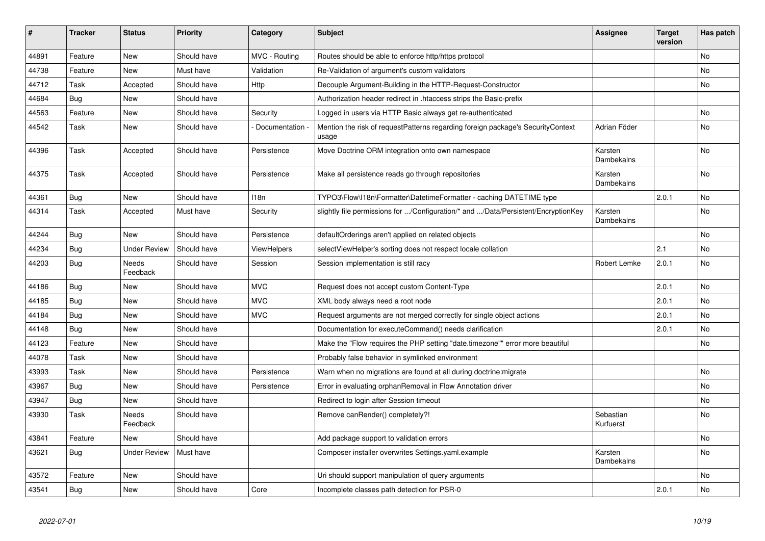| #     | <b>Tracker</b> | <b>Status</b>            | <b>Priority</b> | Category        | <b>Subject</b>                                                                           | <b>Assignee</b>        | <b>Target</b><br>version | Has patch      |
|-------|----------------|--------------------------|-----------------|-----------------|------------------------------------------------------------------------------------------|------------------------|--------------------------|----------------|
| 44891 | Feature        | <b>New</b>               | Should have     | MVC - Routing   | Routes should be able to enforce http/https protocol                                     |                        |                          | No             |
| 44738 | Feature        | New                      | Must have       | Validation      | Re-Validation of argument's custom validators                                            |                        |                          | No             |
| 44712 | Task           | Accepted                 | Should have     | Http            | Decouple Argument-Building in the HTTP-Request-Constructor                               |                        |                          | No             |
| 44684 | <b>Bug</b>     | New                      | Should have     |                 | Authorization header redirect in .htaccess strips the Basic-prefix                       |                        |                          |                |
| 44563 | Feature        | New                      | Should have     | Security        | Logged in users via HTTP Basic always get re-authenticated                               |                        |                          | No             |
| 44542 | Task           | New                      | Should have     | Documentation - | Mention the risk of requestPatterns regarding foreign package's SecurityContext<br>usage | Adrian Föder           |                          | No             |
| 44396 | Task           | Accepted                 | Should have     | Persistence     | Move Doctrine ORM integration onto own namespace                                         | Karsten<br>Dambekalns  |                          | No             |
| 44375 | Task           | Accepted                 | Should have     | Persistence     | Make all persistence reads go through repositories                                       | Karsten<br>Dambekalns  |                          | No             |
| 44361 | Bug            | <b>New</b>               | Should have     | 118n            | TYPO3\Flow\I18n\Formatter\DatetimeFormatter - caching DATETIME type                      |                        | 2.0.1                    | No             |
| 44314 | Task           | Accepted                 | Must have       | Security        | slightly file permissions for /Configuration/* and /Data/Persistent/EncryptionKey        | Karsten<br>Dambekalns  |                          | No             |
| 44244 | <b>Bug</b>     | New                      | Should have     | Persistence     | defaultOrderings aren't applied on related objects                                       |                        |                          | No             |
| 44234 | Bug            | <b>Under Review</b>      | Should have     | ViewHelpers     | selectViewHelper's sorting does not respect locale collation                             |                        | 2.1                      | No             |
| 44203 | Bug            | <b>Needs</b><br>Feedback | Should have     | Session         | Session implementation is still racy                                                     | Robert Lemke           | 2.0.1                    | <b>No</b>      |
| 44186 | <b>Bug</b>     | New                      | Should have     | <b>MVC</b>      | Request does not accept custom Content-Type                                              |                        | 2.0.1                    | No.            |
| 44185 | Bug            | New                      | Should have     | <b>MVC</b>      | XML body always need a root node                                                         |                        | 2.0.1                    | No.            |
| 44184 | Bug            | New                      | Should have     | <b>MVC</b>      | Request arguments are not merged correctly for single object actions                     |                        | 2.0.1                    | No             |
| 44148 | <b>Bug</b>     | New                      | Should have     |                 | Documentation for executeCommand() needs clarification                                   |                        | 2.0.1                    | No             |
| 44123 | Feature        | New                      | Should have     |                 | Make the "Flow requires the PHP setting "date.timezone"" error more beautiful            |                        |                          | No             |
| 44078 | Task           | New                      | Should have     |                 | Probably false behavior in symlinked environment                                         |                        |                          |                |
| 43993 | Task           | New                      | Should have     | Persistence     | Warn when no migrations are found at all during doctrine: migrate                        |                        |                          | No             |
| 43967 | <b>Bug</b>     | New                      | Should have     | Persistence     | Error in evaluating orphanRemoval in Flow Annotation driver                              |                        |                          | No.            |
| 43947 | Bug            | New                      | Should have     |                 | Redirect to login after Session timeout                                                  |                        |                          | No             |
| 43930 | Task           | <b>Needs</b><br>Feedback | Should have     |                 | Remove canRender() completely?!                                                          | Sebastian<br>Kurfuerst |                          | N <sub>o</sub> |
| 43841 | Feature        | New                      | Should have     |                 | Add package support to validation errors                                                 |                        |                          | No             |
| 43621 | <b>Bug</b>     | <b>Under Review</b>      | Must have       |                 | Composer installer overwrites Settings.yaml.example                                      | Karsten<br>Dambekalns  |                          | No             |
| 43572 | Feature        | New                      | Should have     |                 | Uri should support manipulation of query arguments                                       |                        |                          | No             |
| 43541 | <b>Bug</b>     | <b>New</b>               | Should have     | Core            | Incomplete classes path detection for PSR-0                                              |                        | 2.0.1                    | No             |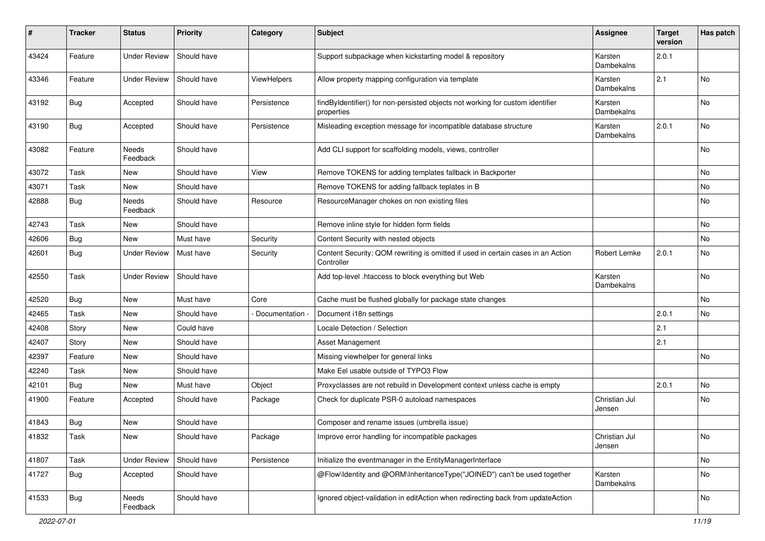| #     | <b>Tracker</b> | <b>Status</b>       | <b>Priority</b> | Category        | Subject                                                                                        | <b>Assignee</b>         | <b>Target</b><br>version | Has patch |
|-------|----------------|---------------------|-----------------|-----------------|------------------------------------------------------------------------------------------------|-------------------------|--------------------------|-----------|
| 43424 | Feature        | <b>Under Review</b> | Should have     |                 | Support subpackage when kickstarting model & repository                                        | Karsten<br>Dambekalns   | 2.0.1                    |           |
| 43346 | Feature        | <b>Under Review</b> | Should have     | ViewHelpers     | Allow property mapping configuration via template                                              | Karsten<br>Dambekalns   | 2.1                      | No        |
| 43192 | Bug            | Accepted            | Should have     | Persistence     | findByIdentifier() for non-persisted objects not working for custom identifier<br>properties   | Karsten<br>Dambekalns   |                          | No        |
| 43190 | Bug            | Accepted            | Should have     | Persistence     | Misleading exception message for incompatible database structure                               | Karsten<br>Dambekalns   | 2.0.1                    | <b>No</b> |
| 43082 | Feature        | Needs<br>Feedback   | Should have     |                 | Add CLI support for scaffolding models, views, controller                                      |                         |                          | No        |
| 43072 | Task           | New                 | Should have     | View            | Remove TOKENS for adding templates fallback in Backporter                                      |                         |                          | No        |
| 43071 | Task           | New                 | Should have     |                 | Remove TOKENS for adding fallback teplates in B                                                |                         |                          | No        |
| 42888 | <b>Bug</b>     | Needs<br>Feedback   | Should have     | Resource        | ResourceManager chokes on non existing files                                                   |                         |                          | No        |
| 42743 | Task           | <b>New</b>          | Should have     |                 | Remove inline style for hidden form fields                                                     |                         |                          | <b>No</b> |
| 42606 | Bug            | New                 | Must have       | Security        | Content Security with nested objects                                                           |                         |                          | No        |
| 42601 | Bug            | <b>Under Review</b> | Must have       | Security        | Content Security: QOM rewriting is omitted if used in certain cases in an Action<br>Controller | Robert Lemke            | 2.0.1                    | No        |
| 42550 | Task           | <b>Under Review</b> | Should have     |                 | Add top-level .htaccess to block everything but Web                                            | Karsten<br>Dambekalns   |                          | No        |
| 42520 | Bug            | New                 | Must have       | Core            | Cache must be flushed globally for package state changes                                       |                         |                          | No        |
| 42465 | Task           | New                 | Should have     | Documentation - | Document i18n settings                                                                         |                         | 2.0.1                    | No        |
| 42408 | Story          | <b>New</b>          | Could have      |                 | Locale Detection / Selection                                                                   |                         | 2.1                      |           |
| 42407 | Story          | New                 | Should have     |                 | Asset Management                                                                               |                         | 2.1                      |           |
| 42397 | Feature        | New                 | Should have     |                 | Missing viewhelper for general links                                                           |                         |                          | <b>No</b> |
| 42240 | Task           | New                 | Should have     |                 | Make Eel usable outside of TYPO3 Flow                                                          |                         |                          |           |
| 42101 | <b>Bug</b>     | New                 | Must have       | Object          | Proxyclasses are not rebuild in Development context unless cache is empty                      |                         | 2.0.1                    | No        |
| 41900 | Feature        | Accepted            | Should have     | Package         | Check for duplicate PSR-0 autoload namespaces                                                  | Christian Jul<br>Jensen |                          | No        |
| 41843 | <b>Bug</b>     | New                 | Should have     |                 | Composer and rename issues (umbrella issue)                                                    |                         |                          |           |
| 41832 | Task           | New                 | Should have     | Package         | Improve error handling for incompatible packages                                               | Christian Jul<br>Jensen |                          | No        |
| 41807 | Task           | <b>Under Review</b> | Should have     | Persistence     | Initialize the eventmanager in the EntityManagerInterface                                      |                         |                          | No        |
| 41727 | <b>Bug</b>     | Accepted            | Should have     |                 | @Flow\Identity and @ORM\InheritanceType("JOINED") can't be used together                       | Karsten<br>Dambekalns   |                          | No        |
| 41533 | <b>Bug</b>     | Needs<br>Feedback   | Should have     |                 | Ignored object-validation in editAction when redirecting back from updateAction                |                         |                          | No        |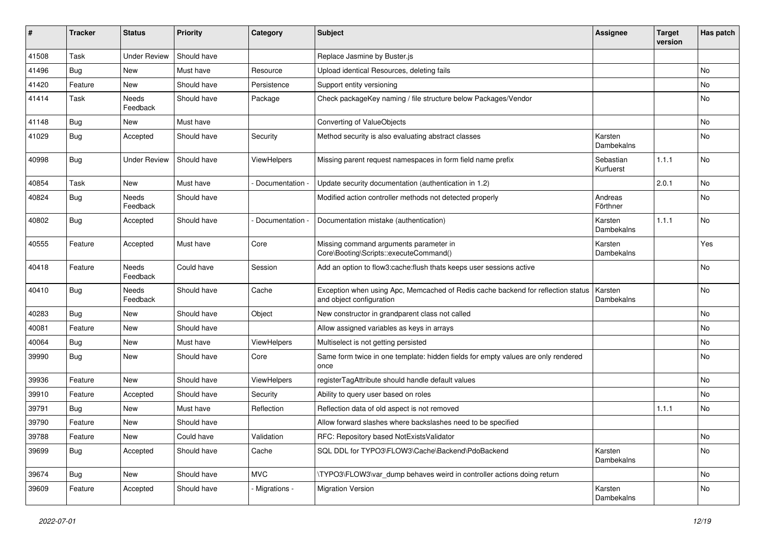| #     | <b>Tracker</b> | <b>Status</b>       | <b>Priority</b> | Category        | <b>Subject</b>                                                                                               | <b>Assignee</b>        | <b>Target</b><br>version | Has patch |
|-------|----------------|---------------------|-----------------|-----------------|--------------------------------------------------------------------------------------------------------------|------------------------|--------------------------|-----------|
| 41508 | Task           | <b>Under Review</b> | Should have     |                 | Replace Jasmine by Buster.js                                                                                 |                        |                          |           |
| 41496 | <b>Bug</b>     | New                 | Must have       | Resource        | Upload identical Resources, deleting fails                                                                   |                        |                          | No        |
| 41420 | Feature        | New                 | Should have     | Persistence     | Support entity versioning                                                                                    |                        |                          | No        |
| 41414 | Task           | Needs<br>Feedback   | Should have     | Package         | Check packageKey naming / file structure below Packages/Vendor                                               |                        |                          | No        |
| 41148 | Bug            | New                 | Must have       |                 | Converting of ValueObjects                                                                                   |                        |                          | No        |
| 41029 | Bug            | Accepted            | Should have     | Security        | Method security is also evaluating abstract classes                                                          | Karsten<br>Dambekalns  |                          | No        |
| 40998 | Bug            | <b>Under Review</b> | Should have     | ViewHelpers     | Missing parent request namespaces in form field name prefix                                                  | Sebastian<br>Kurfuerst | 1.1.1                    | No        |
| 40854 | Task           | New                 | Must have       | Documentation - | Update security documentation (authentication in 1.2)                                                        |                        | 2.0.1                    | No        |
| 40824 | Bug            | Needs<br>Feedback   | Should have     |                 | Modified action controller methods not detected properly                                                     | Andreas<br>Förthner    |                          | No        |
| 40802 | Bug            | Accepted            | Should have     | Documentation - | Documentation mistake (authentication)                                                                       | Karsten<br>Dambekalns  | 1.1.1                    | No        |
| 40555 | Feature        | Accepted            | Must have       | Core            | Missing command arguments parameter in<br>Core\Booting\Scripts::executeCommand()                             | Karsten<br>Dambekalns  |                          | Yes       |
| 40418 | Feature        | Needs<br>Feedback   | Could have      | Session         | Add an option to flow3:cache:flush thats keeps user sessions active                                          |                        |                          | No        |
| 40410 | Bug            | Needs<br>Feedback   | Should have     | Cache           | Exception when using Apc, Memcached of Redis cache backend for reflection status<br>and object configuration | Karsten<br>Dambekalns  |                          | No        |
| 40283 | Bug            | New                 | Should have     | Object          | New constructor in grandparent class not called                                                              |                        |                          | No        |
| 40081 | Feature        | New                 | Should have     |                 | Allow assigned variables as keys in arrays                                                                   |                        |                          | No        |
| 40064 | <b>Bug</b>     | New                 | Must have       | ViewHelpers     | Multiselect is not getting persisted                                                                         |                        |                          | No        |
| 39990 | Bug            | New                 | Should have     | Core            | Same form twice in one template: hidden fields for empty values are only rendered<br>once                    |                        |                          | No        |
| 39936 | Feature        | New                 | Should have     | ViewHelpers     | registerTagAttribute should handle default values                                                            |                        |                          | No        |
| 39910 | Feature        | Accepted            | Should have     | Security        | Ability to query user based on roles                                                                         |                        |                          | No        |
| 39791 | <b>Bug</b>     | New                 | Must have       | Reflection      | Reflection data of old aspect is not removed                                                                 |                        | 1.1.1                    | No        |
| 39790 | Feature        | New                 | Should have     |                 | Allow forward slashes where backslashes need to be specified                                                 |                        |                          |           |
| 39788 | Feature        | New                 | Could have      | Validation      | RFC: Repository based NotExistsValidator                                                                     |                        |                          | No        |
| 39699 | <b>Bug</b>     | Accepted            | Should have     | Cache           | SQL DDL for TYPO3\FLOW3\Cache\Backend\PdoBackend                                                             | Karsten<br>Dambekalns  |                          | No        |
| 39674 | Bug            | New                 | Should have     | <b>MVC</b>      | \TYPO3\FLOW3\var_dump behaves weird in controller actions doing return                                       |                        |                          | No        |
| 39609 | Feature        | Accepted            | Should have     | - Migrations -  | <b>Migration Version</b>                                                                                     | Karsten<br>Dambekalns  |                          | No        |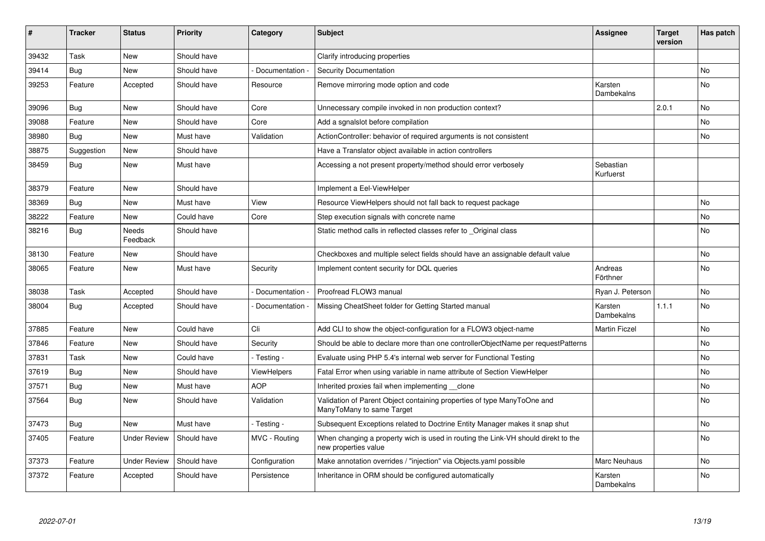| #     | <b>Tracker</b> | <b>Status</b>       | <b>Priority</b> | Category           | <b>Subject</b>                                                                                            | Assignee               | <b>Target</b><br>version | Has patch |
|-------|----------------|---------------------|-----------------|--------------------|-----------------------------------------------------------------------------------------------------------|------------------------|--------------------------|-----------|
| 39432 | Task           | <b>New</b>          | Should have     |                    | Clarify introducing properties                                                                            |                        |                          |           |
| 39414 | Bug            | New                 | Should have     | Documentation -    | Security Documentation                                                                                    |                        |                          | No        |
| 39253 | Feature        | Accepted            | Should have     | Resource           | Remove mirroring mode option and code                                                                     | Karsten<br>Dambekalns  |                          | No        |
| 39096 | Bug            | New                 | Should have     | Core               | Unnecessary compile invoked in non production context?                                                    |                        | 2.0.1                    | No        |
| 39088 | Feature        | New                 | Should have     | Core               | Add a sgnalslot before compilation                                                                        |                        |                          | No.       |
| 38980 | Bug            | New                 | Must have       | Validation         | ActionController: behavior of required arguments is not consistent                                        |                        |                          | No        |
| 38875 | Suggestion     | New                 | Should have     |                    | Have a Translator object available in action controllers                                                  |                        |                          |           |
| 38459 | <b>Bug</b>     | <b>New</b>          | Must have       |                    | Accessing a not present property/method should error verbosely                                            | Sebastian<br>Kurfuerst |                          |           |
| 38379 | Feature        | New                 | Should have     |                    | Implement a Eel-ViewHelper                                                                                |                        |                          |           |
| 38369 | <b>Bug</b>     | <b>New</b>          | Must have       | View               | Resource ViewHelpers should not fall back to request package                                              |                        |                          | No        |
| 38222 | Feature        | New                 | Could have      | Core               | Step execution signals with concrete name                                                                 |                        |                          | No        |
| 38216 | Bug            | Needs<br>Feedback   | Should have     |                    | Static method calls in reflected classes refer to Original class                                          |                        |                          | No.       |
| 38130 | Feature        | <b>New</b>          | Should have     |                    | Checkboxes and multiple select fields should have an assignable default value                             |                        |                          | No        |
| 38065 | Feature        | New                 | Must have       | Security           | Implement content security for DQL queries                                                                | Andreas<br>Förthner    |                          | No        |
| 38038 | Task           | Accepted            | Should have     | Documentation      | Proofread FLOW3 manual                                                                                    | Ryan J. Peterson       |                          | No        |
| 38004 | Bug            | Accepted            | Should have     | Documentation -    | Missing CheatSheet folder for Getting Started manual                                                      | Karsten<br>Dambekalns  | 1.1.1                    | No        |
| 37885 | Feature        | <b>New</b>          | Could have      | Cli                | Add CLI to show the object-configuration for a FLOW3 object-name                                          | <b>Martin Ficzel</b>   |                          | No        |
| 37846 | Feature        | New                 | Should have     | Security           | Should be able to declare more than one controllerObjectName per requestPatterns                          |                        |                          | No        |
| 37831 | Task           | New                 | Could have      | - Testing -        | Evaluate using PHP 5.4's internal web server for Functional Testing                                       |                        |                          | No        |
| 37619 | Bug            | New                 | Should have     | <b>ViewHelpers</b> | Fatal Error when using variable in name attribute of Section ViewHelper                                   |                        |                          | No        |
| 37571 | <b>Bug</b>     | <b>New</b>          | Must have       | <b>AOP</b>         | Inherited proxies fail when implementing clone                                                            |                        |                          | No.       |
| 37564 | Bug            | New                 | Should have     | Validation         | Validation of Parent Object containing properties of type ManyToOne and<br>ManyToMany to same Target      |                        |                          | No        |
| 37473 | <b>Bug</b>     | New                 | Must have       | - Testing -        | Subsequent Exceptions related to Doctrine Entity Manager makes it snap shut                               |                        |                          | No        |
| 37405 | Feature        | Under Review        | Should have     | MVC - Routing      | When changing a property wich is used in routing the Link-VH should direkt to the<br>new properties value |                        |                          | No        |
| 37373 | Feature        | <b>Under Review</b> | Should have     | Configuration      | Make annotation overrides / "injection" via Objects.yaml possible                                         | <b>Marc Neuhaus</b>    |                          | No        |
| 37372 | Feature        | Accepted            | Should have     | Persistence        | Inheritance in ORM should be configured automatically                                                     | Karsten<br>Dambekalns  |                          | No        |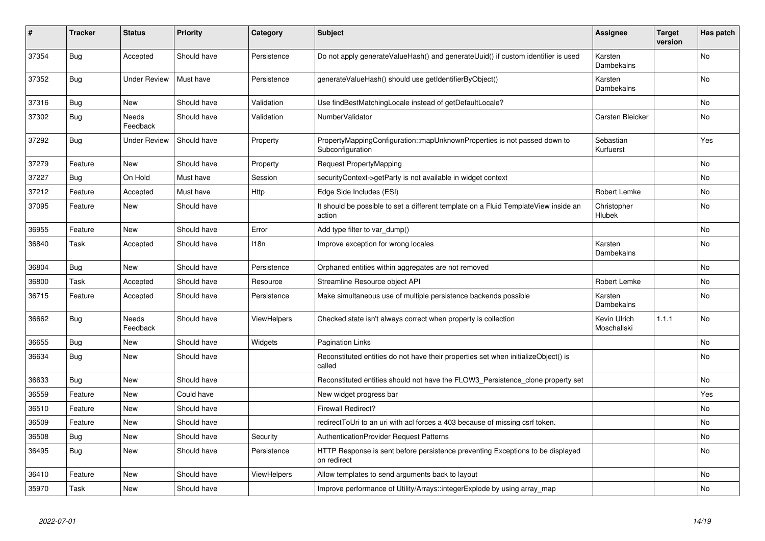| #     | <b>Tracker</b> | <b>Status</b>     | <b>Priority</b> | Category    | <b>Subject</b>                                                                                | Assignee                    | <b>Target</b><br>version | Has patch      |
|-------|----------------|-------------------|-----------------|-------------|-----------------------------------------------------------------------------------------------|-----------------------------|--------------------------|----------------|
| 37354 | <b>Bug</b>     | Accepted          | Should have     | Persistence | Do not apply generateValueHash() and generateUuid() if custom identifier is used              | Karsten<br>Dambekalns       |                          | <b>No</b>      |
| 37352 | Bug            | Under Review      | Must have       | Persistence | generateValueHash() should use getIdentifierByObject()                                        | Karsten<br>Dambekalns       |                          | N <sub>o</sub> |
| 37316 | Bug            | <b>New</b>        | Should have     | Validation  | Use findBestMatchingLocale instead of getDefaultLocale?                                       |                             |                          | No.            |
| 37302 | <b>Bug</b>     | Needs<br>Feedback | Should have     | Validation  | NumberValidator                                                                               | Carsten Bleicker            |                          | <b>No</b>      |
| 37292 | <b>Bug</b>     | Under Review      | Should have     | Property    | PropertyMappingConfiguration::mapUnknownProperties is not passed down to<br>Subconfiguration  | Sebastian<br>Kurfuerst      |                          | Yes            |
| 37279 | Feature        | New               | Should have     | Property    | Request PropertyMapping                                                                       |                             |                          | No.            |
| 37227 | <b>Bug</b>     | On Hold           | Must have       | Session     | securityContext->getParty is not available in widget context                                  |                             |                          | No             |
| 37212 | Feature        | Accepted          | Must have       | Http        | Edge Side Includes (ESI)                                                                      | <b>Robert Lemke</b>         |                          | No             |
| 37095 | Feature        | New               | Should have     |             | It should be possible to set a different template on a Fluid TemplateView inside an<br>action | Christopher<br>Hlubek       |                          | N <sub>o</sub> |
| 36955 | Feature        | New               | Should have     | Error       | Add type filter to var dump()                                                                 |                             |                          | No             |
| 36840 | Task           | Accepted          | Should have     | 118n        | Improve exception for wrong locales                                                           | Karsten<br>Dambekalns       |                          | No.            |
| 36804 | <b>Bug</b>     | <b>New</b>        | Should have     | Persistence | Orphaned entities within aggregates are not removed                                           |                             |                          | N <sub>o</sub> |
| 36800 | Task           | Accepted          | Should have     | Resource    | Streamline Resource object API                                                                | Robert Lemke                |                          | No             |
| 36715 | Feature        | Accepted          | Should have     | Persistence | Make simultaneous use of multiple persistence backends possible                               | Karsten<br>Dambekalns       |                          | No             |
| 36662 | <b>Bug</b>     | Needs<br>Feedback | Should have     | ViewHelpers | Checked state isn't always correct when property is collection                                | Kevin Ulrich<br>Moschallski | 1.1.1                    | No             |
| 36655 | <b>Bug</b>     | New               | Should have     | Widgets     | <b>Pagination Links</b>                                                                       |                             |                          | No             |
| 36634 | <b>Bug</b>     | New               | Should have     |             | Reconstituted entities do not have their properties set when initializeObject() is<br>called  |                             |                          | No.            |
| 36633 | <b>Bug</b>     | New               | Should have     |             | Reconstituted entities should not have the FLOW3_Persistence_clone property set               |                             |                          | N <sub>o</sub> |
| 36559 | Feature        | New               | Could have      |             | New widget progress bar                                                                       |                             |                          | Yes            |
| 36510 | Feature        | New               | Should have     |             | <b>Firewall Redirect?</b>                                                                     |                             |                          | No             |
| 36509 | Feature        | New               | Should have     |             | redirectToUri to an uri with acl forces a 403 because of missing csrf token.                  |                             |                          | No             |
| 36508 | <b>Bug</b>     | New               | Should have     | Security    | <b>AuthenticationProvider Request Patterns</b>                                                |                             |                          | No             |
| 36495 | Bug            | New               | Should have     | Persistence | HTTP Response is sent before persistence preventing Exceptions to be displayed<br>on redirect |                             |                          | No             |
| 36410 | Feature        | New               | Should have     | ViewHelpers | Allow templates to send arguments back to layout                                              |                             |                          | No             |
| 35970 | Task           | New               | Should have     |             | Improve performance of Utility/Arrays::integerExplode by using array map                      |                             |                          | No             |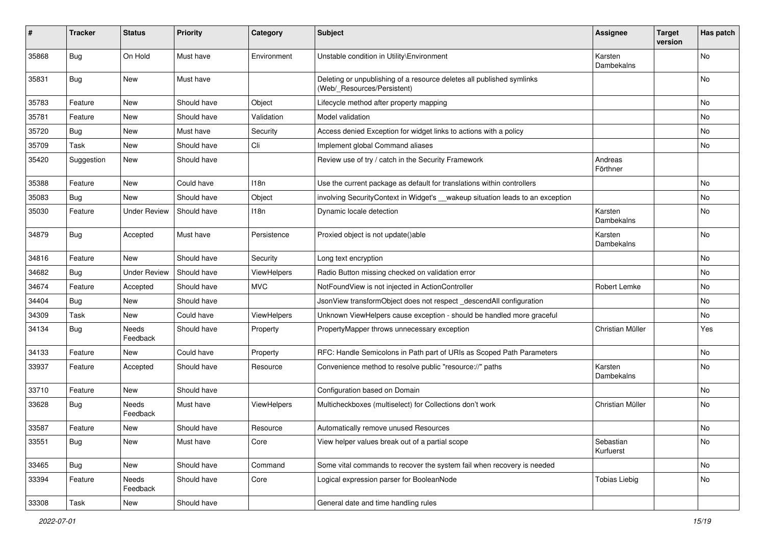| ∦     | <b>Tracker</b> | <b>Status</b>       | <b>Priority</b> | Category    | <b>Subject</b>                                                                                       | <b>Assignee</b>        | <b>Target</b><br>version | Has patch |
|-------|----------------|---------------------|-----------------|-------------|------------------------------------------------------------------------------------------------------|------------------------|--------------------------|-----------|
| 35868 | Bug            | On Hold             | Must have       | Environment | Unstable condition in Utility\Environment                                                            | Karsten<br>Dambekalns  |                          | No        |
| 35831 | Bug            | New                 | Must have       |             | Deleting or unpublishing of a resource deletes all published symlinks<br>(Web/_Resources/Persistent) |                        |                          | No        |
| 35783 | Feature        | New                 | Should have     | Object      | Lifecycle method after property mapping                                                              |                        |                          | No        |
| 35781 | Feature        | New                 | Should have     | Validation  | Model validation                                                                                     |                        |                          | No        |
| 35720 | Bug            | <b>New</b>          | Must have       | Security    | Access denied Exception for widget links to actions with a policy                                    |                        |                          | No        |
| 35709 | Task           | New                 | Should have     | Cli         | Implement global Command aliases                                                                     |                        |                          | No        |
| 35420 | Suggestion     | <b>New</b>          | Should have     |             | Review use of try / catch in the Security Framework                                                  | Andreas<br>Förthner    |                          |           |
| 35388 | Feature        | New                 | Could have      | 118n        | Use the current package as default for translations within controllers                               |                        |                          | No        |
| 35083 | Bug            | New                 | Should have     | Object      | involving SecurityContext in Widget's __wakeup situation leads to an exception                       |                        |                          | No        |
| 35030 | Feature        | <b>Under Review</b> | Should have     | 118n        | Dynamic locale detection                                                                             | Karsten<br>Dambekalns  |                          | No        |
| 34879 | Bug            | Accepted            | Must have       | Persistence | Proxied object is not update()able                                                                   | Karsten<br>Dambekalns  |                          | No        |
| 34816 | Feature        | <b>New</b>          | Should have     | Security    | Long text encryption                                                                                 |                        |                          | No        |
| 34682 | Bug            | <b>Under Review</b> | Should have     | ViewHelpers | Radio Button missing checked on validation error                                                     |                        |                          | No        |
| 34674 | Feature        | Accepted            | Should have     | <b>MVC</b>  | NotFoundView is not injected in ActionController                                                     | Robert Lemke           |                          | No        |
| 34404 | Bug            | New                 | Should have     |             | JsonView transformObject does not respect_descendAll configuration                                   |                        |                          | No        |
| 34309 | Task           | New                 | Could have      | ViewHelpers | Unknown ViewHelpers cause exception - should be handled more graceful                                |                        |                          | No        |
| 34134 | <b>Bug</b>     | Needs<br>Feedback   | Should have     | Property    | PropertyMapper throws unnecessary exception                                                          | Christian Müller       |                          | Yes       |
| 34133 | Feature        | New                 | Could have      | Property    | RFC: Handle Semicolons in Path part of URIs as Scoped Path Parameters                                |                        |                          | No        |
| 33937 | Feature        | Accepted            | Should have     | Resource    | Convenience method to resolve public "resource://" paths                                             | Karsten<br>Dambekalns  |                          | No        |
| 33710 | Feature        | New                 | Should have     |             | Configuration based on Domain                                                                        |                        |                          | No        |
| 33628 | Bug            | Needs<br>Feedback   | Must have       | ViewHelpers | Multicheckboxes (multiselect) for Collections don't work                                             | Christian Müller       |                          | No        |
| 33587 | Feature        | New                 | Should have     | Resource    | Automatically remove unused Resources                                                                |                        |                          | No        |
| 33551 | <b>Bug</b>     | New                 | Must have       | Core        | View helper values break out of a partial scope                                                      | Sebastian<br>Kurfuerst |                          | No        |
| 33465 | <b>Bug</b>     | New                 | Should have     | Command     | Some vital commands to recover the system fail when recovery is needed                               |                        |                          | No        |
| 33394 | Feature        | Needs<br>Feedback   | Should have     | Core        | Logical expression parser for BooleanNode                                                            | <b>Tobias Liebig</b>   |                          | No        |
| 33308 | Task           | New                 | Should have     |             | General date and time handling rules                                                                 |                        |                          |           |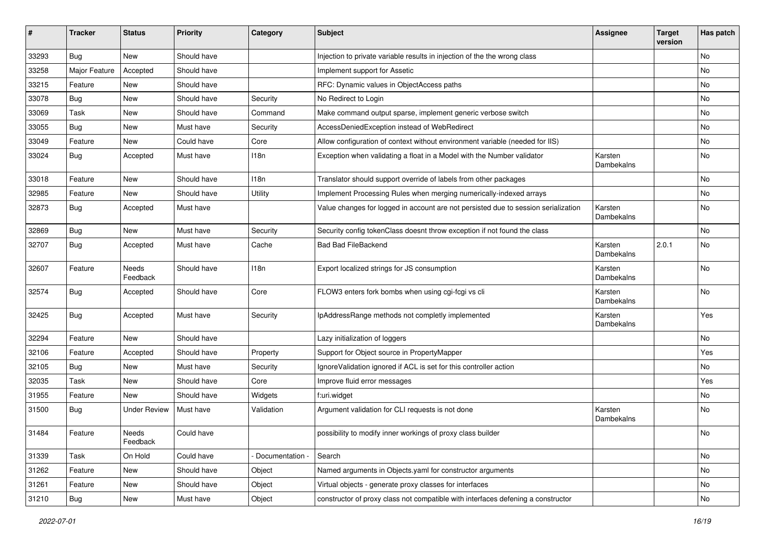| #     | <b>Tracker</b> | <b>Status</b>       | Priority    | Category        | <b>Subject</b>                                                                     | <b>Assignee</b>       | <b>Target</b><br>version | Has patch |
|-------|----------------|---------------------|-------------|-----------------|------------------------------------------------------------------------------------|-----------------------|--------------------------|-----------|
| 33293 | Bug            | New                 | Should have |                 | Injection to private variable results in injection of the the wrong class          |                       |                          | No        |
| 33258 | Major Feature  | Accepted            | Should have |                 | Implement support for Assetic                                                      |                       |                          | No        |
| 33215 | Feature        | New                 | Should have |                 | RFC: Dynamic values in ObjectAccess paths                                          |                       |                          | No        |
| 33078 | Bug            | <b>New</b>          | Should have | Security        | No Redirect to Login                                                               |                       |                          | No        |
| 33069 | Task           | New                 | Should have | Command         | Make command output sparse, implement generic verbose switch                       |                       |                          | No        |
| 33055 | <b>Bug</b>     | New                 | Must have   | Security        | AccessDeniedException instead of WebRedirect                                       |                       |                          | <b>No</b> |
| 33049 | Feature        | New                 | Could have  | Core            | Allow configuration of context without environment variable (needed for IIS)       |                       |                          | No        |
| 33024 | <b>Bug</b>     | Accepted            | Must have   | 118n            | Exception when validating a float in a Model with the Number validator             | Karsten<br>Dambekalns |                          | No        |
| 33018 | Feature        | New                 | Should have | 118n            | Translator should support override of labels from other packages                   |                       |                          | No        |
| 32985 | Feature        | New                 | Should have | Utility         | Implement Processing Rules when merging numerically-indexed arrays                 |                       |                          | No        |
| 32873 | <b>Bug</b>     | Accepted            | Must have   |                 | Value changes for logged in account are not persisted due to session serialization | Karsten<br>Dambekalns |                          | No        |
| 32869 | Bug            | New                 | Must have   | Security        | Security config tokenClass doesnt throw exception if not found the class           |                       |                          | <b>No</b> |
| 32707 | <b>Bug</b>     | Accepted            | Must have   | Cache           | <b>Bad Bad FileBackend</b>                                                         | Karsten<br>Dambekalns | 2.0.1                    | No        |
| 32607 | Feature        | Needs<br>Feedback   | Should have | 118n            | Export localized strings for JS consumption                                        | Karsten<br>Dambekalns |                          | No        |
| 32574 | <b>Bug</b>     | Accepted            | Should have | Core            | FLOW3 enters fork bombs when using cgi-fcgi vs cli                                 | Karsten<br>Dambekalns |                          | No        |
| 32425 | <b>Bug</b>     | Accepted            | Must have   | Security        | IpAddressRange methods not completly implemented                                   | Karsten<br>Dambekalns |                          | Yes       |
| 32294 | Feature        | New                 | Should have |                 | Lazy initialization of loggers                                                     |                       |                          | No        |
| 32106 | Feature        | Accepted            | Should have | Property        | Support for Object source in PropertyMapper                                        |                       |                          | Yes       |
| 32105 | <b>Bug</b>     | New                 | Must have   | Security        | IgnoreValidation ignored if ACL is set for this controller action                  |                       |                          | No        |
| 32035 | Task           | New                 | Should have | Core            | Improve fluid error messages                                                       |                       |                          | Yes       |
| 31955 | Feature        | New                 | Should have | Widgets         | f:uri.widget                                                                       |                       |                          | No        |
| 31500 | Bug            | <b>Under Review</b> | Must have   | Validation      | Argument validation for CLI requests is not done                                   | Karsten<br>Dambekalns |                          | No        |
| 31484 | Feature        | Needs<br>Feedback   | Could have  |                 | possibility to modify inner workings of proxy class builder                        |                       |                          | No        |
| 31339 | Task           | On Hold             | Could have  | Documentation - | Search                                                                             |                       |                          | No        |
| 31262 | Feature        | New                 | Should have | Object          | Named arguments in Objects.yaml for constructor arguments                          |                       |                          | No        |
| 31261 | Feature        | New                 | Should have | Object          | Virtual objects - generate proxy classes for interfaces                            |                       |                          | No        |
| 31210 | <b>Bug</b>     | New                 | Must have   | Object          | constructor of proxy class not compatible with interfaces defening a constructor   |                       |                          | No        |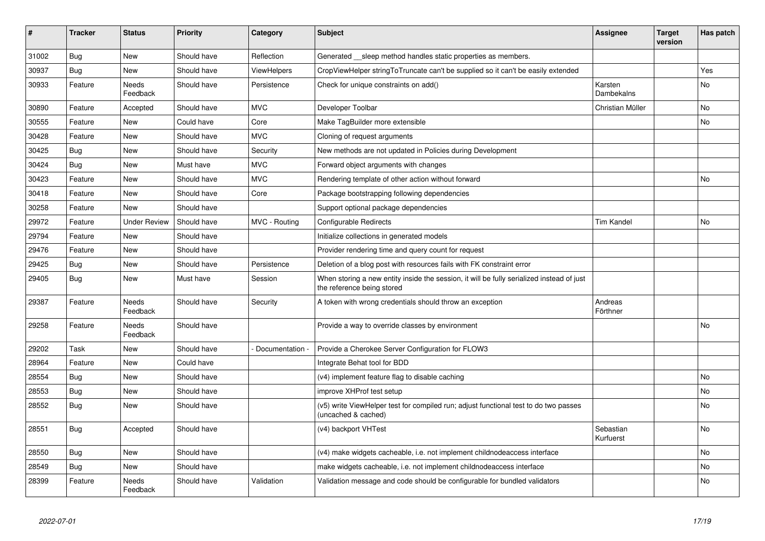| $\vert$ # | <b>Tracker</b> | <b>Status</b>            | <b>Priority</b> | Category      | <b>Subject</b>                                                                                                          | <b>Assignee</b>        | <b>Target</b><br>version | Has patch      |
|-----------|----------------|--------------------------|-----------------|---------------|-------------------------------------------------------------------------------------------------------------------------|------------------------|--------------------------|----------------|
| 31002     | <b>Bug</b>     | <b>New</b>               | Should have     | Reflection    | Generated __sleep method handles static properties as members.                                                          |                        |                          |                |
| 30937     | Bug            | New                      | Should have     | ViewHelpers   | CropViewHelper stringToTruncate can't be supplied so it can't be easily extended                                        |                        |                          | Yes            |
| 30933     | Feature        | Needs<br>Feedback        | Should have     | Persistence   | Check for unique constraints on add()                                                                                   | Karsten<br>Dambekalns  |                          | No             |
| 30890     | Feature        | Accepted                 | Should have     | <b>MVC</b>    | Developer Toolbar                                                                                                       | Christian Müller       |                          | N <sub>o</sub> |
| 30555     | Feature        | <b>New</b>               | Could have      | Core          | Make TagBuilder more extensible                                                                                         |                        |                          | No.            |
| 30428     | Feature        | New                      | Should have     | <b>MVC</b>    | Cloning of request arguments                                                                                            |                        |                          |                |
| 30425     | <b>Bug</b>     | New                      | Should have     | Security      | New methods are not updated in Policies during Development                                                              |                        |                          |                |
| 30424     | Bug            | New                      | Must have       | <b>MVC</b>    | Forward object arguments with changes                                                                                   |                        |                          |                |
| 30423     | Feature        | New                      | Should have     | <b>MVC</b>    | Rendering template of other action without forward                                                                      |                        |                          | No             |
| 30418     | Feature        | New                      | Should have     | Core          | Package bootstrapping following dependencies                                                                            |                        |                          |                |
| 30258     | Feature        | New                      | Should have     |               | Support optional package dependencies                                                                                   |                        |                          |                |
| 29972     | Feature        | Under Review             | Should have     | MVC - Routing | Configurable Redirects                                                                                                  | <b>Tim Kandel</b>      |                          | No             |
| 29794     | Feature        | New                      | Should have     |               | Initialize collections in generated models                                                                              |                        |                          |                |
| 29476     | Feature        | New                      | Should have     |               | Provider rendering time and query count for request                                                                     |                        |                          |                |
| 29425     | Bug            | New                      | Should have     | Persistence   | Deletion of a blog post with resources fails with FK constraint error                                                   |                        |                          |                |
| 29405     | <b>Bug</b>     | New                      | Must have       | Session       | When storing a new entity inside the session, it will be fully serialized instead of just<br>the reference being stored |                        |                          |                |
| 29387     | Feature        | <b>Needs</b><br>Feedback | Should have     | Security      | A token with wrong credentials should throw an exception                                                                | Andreas<br>Förthner    |                          |                |
| 29258     | Feature        | Needs<br>Feedback        | Should have     |               | Provide a way to override classes by environment                                                                        |                        |                          | No             |
| 29202     | Task           | <b>New</b>               | Should have     | Documentation | Provide a Cherokee Server Configuration for FLOW3                                                                       |                        |                          |                |
| 28964     | Feature        | New                      | Could have      |               | Integrate Behat tool for BDD                                                                                            |                        |                          |                |
| 28554     | <b>Bug</b>     | <b>New</b>               | Should have     |               | (v4) implement feature flag to disable caching                                                                          |                        |                          | No.            |
| 28553     | Bug            | <b>New</b>               | Should have     |               | improve XHProf test setup                                                                                               |                        |                          | No.            |
| 28552     | Bug            | New                      | Should have     |               | (v5) write ViewHelper test for compiled run; adjust functional test to do two passes<br>(uncached & cached)             |                        |                          | N <sub>o</sub> |
| 28551     | <b>Bug</b>     | Accepted                 | Should have     |               | (v4) backport VHTest                                                                                                    | Sebastian<br>Kurfuerst |                          | No.            |
| 28550     | <b>Bug</b>     | New                      | Should have     |               | (v4) make widgets cacheable, i.e. not implement childnodeaccess interface                                               |                        |                          | No             |
| 28549     | Bug            | New                      | Should have     |               | make widgets cacheable, i.e. not implement childnodeaccess interface                                                    |                        |                          | No             |
| 28399     | Feature        | Needs<br>Feedback        | Should have     | Validation    | Validation message and code should be configurable for bundled validators                                               |                        |                          | No             |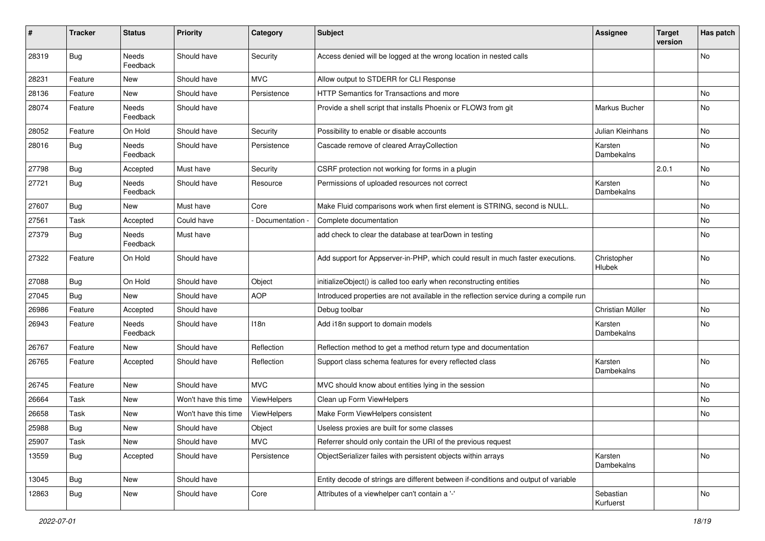| #     | <b>Tracker</b> | <b>Status</b>     | <b>Priority</b>      | Category      | <b>Subject</b>                                                                         | <b>Assignee</b>         | <b>Target</b><br>version | Has patch |
|-------|----------------|-------------------|----------------------|---------------|----------------------------------------------------------------------------------------|-------------------------|--------------------------|-----------|
| 28319 | Bug            | Needs<br>Feedback | Should have          | Security      | Access denied will be logged at the wrong location in nested calls                     |                         |                          | No        |
| 28231 | Feature        | New               | Should have          | <b>MVC</b>    | Allow output to STDERR for CLI Response                                                |                         |                          |           |
| 28136 | Feature        | New               | Should have          | Persistence   | <b>HTTP Semantics for Transactions and more</b>                                        |                         |                          | No.       |
| 28074 | Feature        | Needs<br>Feedback | Should have          |               | Provide a shell script that installs Phoenix or FLOW3 from git                         | Markus Bucher           |                          | No        |
| 28052 | Feature        | On Hold           | Should have          | Security      | Possibility to enable or disable accounts                                              | <b>Julian Kleinhans</b> |                          | No        |
| 28016 | Bug            | Needs<br>Feedback | Should have          | Persistence   | Cascade remove of cleared ArrayCollection                                              | Karsten<br>Dambekalns   |                          | No.       |
| 27798 | Bug            | Accepted          | Must have            | Security      | CSRF protection not working for forms in a plugin                                      |                         | 2.0.1                    | No        |
| 27721 | Bug            | Needs<br>Feedback | Should have          | Resource      | Permissions of uploaded resources not correct                                          | Karsten<br>Dambekalns   |                          | No        |
| 27607 | Bug            | New               | Must have            | Core          | Make Fluid comparisons work when first element is STRING, second is NULL.              |                         |                          | No        |
| 27561 | Task           | Accepted          | Could have           | Documentation | Complete documentation                                                                 |                         |                          | No.       |
| 27379 | Bug            | Needs<br>Feedback | Must have            |               | add check to clear the database at tearDown in testing                                 |                         |                          | No        |
| 27322 | Feature        | On Hold           | Should have          |               | Add support for Appserver-in-PHP, which could result in much faster executions.        | Christopher<br>Hlubek   |                          | <b>No</b> |
| 27088 | <b>Bug</b>     | On Hold           | Should have          | Object        | initializeObject() is called too early when reconstructing entities                    |                         |                          | No        |
| 27045 | Bug            | New               | Should have          | <b>AOP</b>    | Introduced properties are not available in the reflection service during a compile run |                         |                          |           |
| 26986 | Feature        | Accepted          | Should have          |               | Debug toolbar                                                                          | Christian Müller        |                          | No        |
| 26943 | Feature        | Needs<br>Feedback | Should have          | 118n          | Add i18n support to domain models                                                      | Karsten<br>Dambekalns   |                          | No        |
| 26767 | Feature        | New               | Should have          | Reflection    | Reflection method to get a method return type and documentation                        |                         |                          |           |
| 26765 | Feature        | Accepted          | Should have          | Reflection    | Support class schema features for every reflected class                                | Karsten<br>Dambekalns   |                          | No        |
| 26745 | Feature        | New               | Should have          | <b>MVC</b>    | MVC should know about entities lying in the session                                    |                         |                          | No        |
| 26664 | Task           | New               | Won't have this time | ViewHelpers   | Clean up Form ViewHelpers                                                              |                         |                          | No        |
| 26658 | Task           | New               | Won't have this time | ViewHelpers   | Make Form ViewHelpers consistent                                                       |                         |                          | No        |
| 25988 | Bug            | New               | Should have          | Object        | Useless proxies are built for some classes                                             |                         |                          |           |
| 25907 | Task           | New               | Should have          | <b>MVC</b>    | Referrer should only contain the URI of the previous request                           |                         |                          |           |
| 13559 | <b>Bug</b>     | Accepted          | Should have          | Persistence   | ObjectSerializer failes with persistent objects within arrays                          | Karsten<br>Dambekalns   |                          | No        |
| 13045 | Bug            | New               | Should have          |               | Entity decode of strings are different between if-conditions and output of variable    |                         |                          |           |
| 12863 | <b>Bug</b>     | New               | Should have          | Core          | Attributes of a viewhelper can't contain a '-'                                         | Sebastian<br>Kurfuerst  |                          | No        |